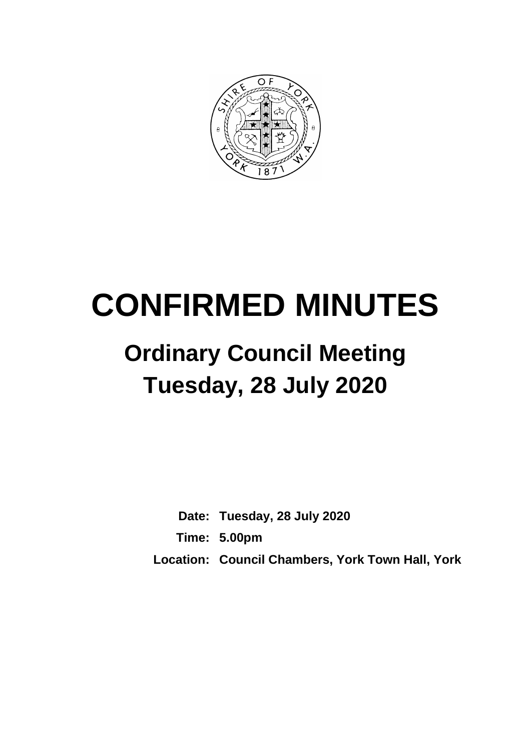

# **CONFIRMED MINUTES**

## **Ordinary Council Meeting Tuesday, 28 July 2020**

**Date: Tuesday, 28 July 2020 Time: 5.00pm Location: Council Chambers, York Town Hall, York**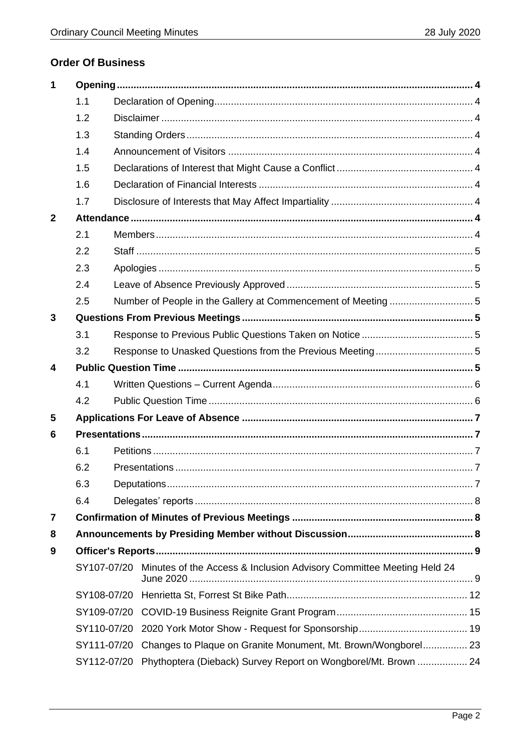#### **Order Of Business**

| 1            |             |  |                                                                                  |  |
|--------------|-------------|--|----------------------------------------------------------------------------------|--|
|              | 1.1         |  |                                                                                  |  |
|              | 1.2         |  |                                                                                  |  |
|              | 1.3         |  |                                                                                  |  |
|              | 1.4         |  |                                                                                  |  |
|              | 1.5         |  |                                                                                  |  |
|              | 1.6         |  |                                                                                  |  |
|              | 1.7         |  |                                                                                  |  |
| $\mathbf{2}$ |             |  |                                                                                  |  |
|              | 2.1         |  |                                                                                  |  |
|              | 2.2         |  |                                                                                  |  |
|              | 2.3         |  |                                                                                  |  |
|              | 2.4         |  |                                                                                  |  |
|              | 2.5         |  |                                                                                  |  |
| 3            |             |  |                                                                                  |  |
|              | 3.1         |  |                                                                                  |  |
|              | 3.2         |  |                                                                                  |  |
| 4            |             |  |                                                                                  |  |
|              | 4.1         |  |                                                                                  |  |
|              | 4.2         |  |                                                                                  |  |
| 5            |             |  |                                                                                  |  |
| 6            |             |  |                                                                                  |  |
|              | 6.1         |  |                                                                                  |  |
|              | 6.2         |  |                                                                                  |  |
|              | 6.3         |  |                                                                                  |  |
|              | 6.4         |  |                                                                                  |  |
| 7            |             |  |                                                                                  |  |
| 8            |             |  |                                                                                  |  |
| 9            |             |  |                                                                                  |  |
|              |             |  | SY107-07/20 Minutes of the Access & Inclusion Advisory Committee Meeting Held 24 |  |
|              | SY108-07/20 |  |                                                                                  |  |
|              | SY109-07/20 |  |                                                                                  |  |
|              | SY110-07/20 |  |                                                                                  |  |
|              | SY111-07/20 |  | Changes to Plaque on Granite Monument, Mt. Brown/Wongborel 23                    |  |
|              | SY112-07/20 |  | Phythoptera (Dieback) Survey Report on Wongborel/Mt. Brown  24                   |  |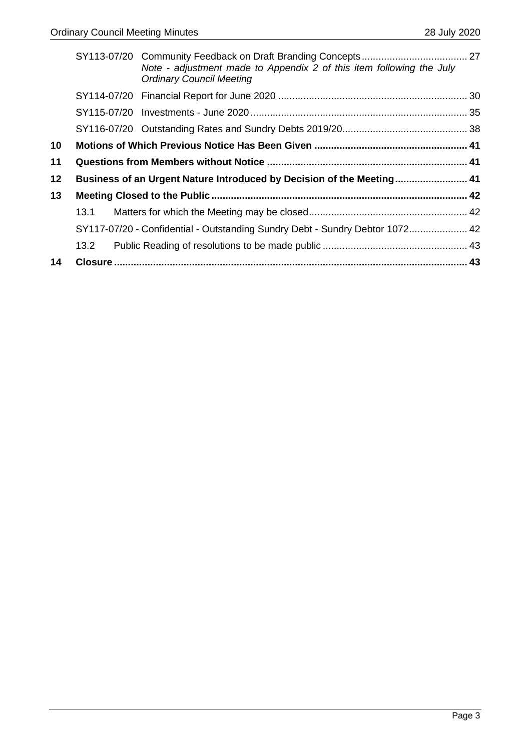|    |                                                                       | Note - adjustment made to Appendix 2 of this item following the July<br><b>Ordinary Council Meeting</b> |  |
|----|-----------------------------------------------------------------------|---------------------------------------------------------------------------------------------------------|--|
|    |                                                                       |                                                                                                         |  |
|    |                                                                       |                                                                                                         |  |
|    |                                                                       |                                                                                                         |  |
| 10 |                                                                       |                                                                                                         |  |
| 11 |                                                                       |                                                                                                         |  |
| 12 | Business of an Urgent Nature Introduced by Decision of the Meeting 41 |                                                                                                         |  |
| 13 |                                                                       |                                                                                                         |  |
|    | 13.1                                                                  |                                                                                                         |  |
|    |                                                                       | SY117-07/20 - Confidential - Outstanding Sundry Debt - Sundry Debtor 1072 42                            |  |
|    | 13.2                                                                  |                                                                                                         |  |
| 14 |                                                                       |                                                                                                         |  |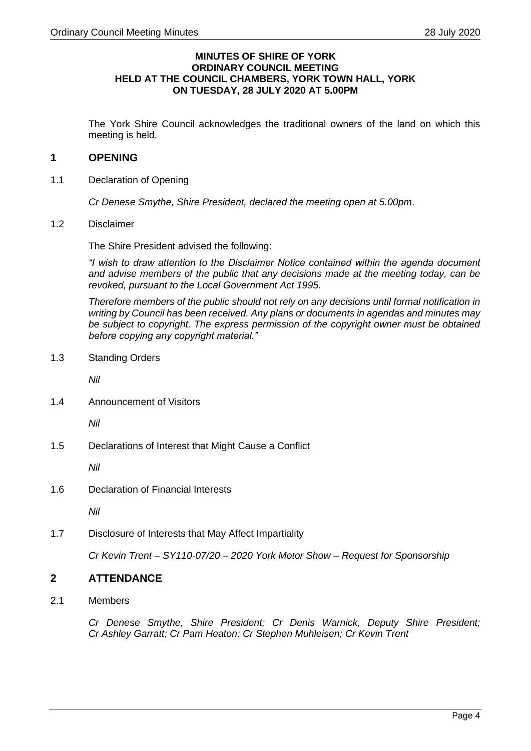#### **MINUTES OF SHIRE OF YORK ORDINARY COUNCIL MEETING HELD AT THE COUNCIL CHAMBERS, YORK TOWN HALL, YORK ON TUESDAY, 28 JULY 2020 AT 5.00PM**

The York Shire Council acknowledges the traditional owners of the land on which this meeting is held.

#### <span id="page-3-0"></span>**1 OPENING**

<span id="page-3-1"></span>1.1 Declaration of Opening

*Cr Denese Smythe, Shire President, declared the meeting open at 5.00pm*.

<span id="page-3-2"></span>1.2 Disclaimer

The Shire President advised the following:

*"I wish to draw attention to the Disclaimer Notice contained within the agenda document and advise members of the public that any decisions made at the meeting today, can be revoked, pursuant to the Local Government Act 1995.*

*Therefore members of the public should not rely on any decisions until formal notification in writing by Council has been received. Any plans or documents in agendas and minutes may be subject to copyright. The express permission of the copyright owner must be obtained before copying any copyright material."*

<span id="page-3-3"></span>1.3 Standing Orders

*Nil*

<span id="page-3-4"></span>1.4 Announcement of Visitors

*Nil*

<span id="page-3-5"></span>1.5 Declarations of Interest that Might Cause a Conflict

*Nil*

<span id="page-3-6"></span>1.6 Declaration of Financial Interests

*Nil*

<span id="page-3-7"></span>1.7 Disclosure of Interests that May Affect Impartiality

*Cr Kevin Trent – SY110-07/20 – 2020 York Motor Show – Request for Sponsorship* 

#### <span id="page-3-8"></span>**2 ATTENDANCE**

<span id="page-3-9"></span>2.1 Members

*Cr Denese Smythe, Shire President; Cr Denis Warnick, Deputy Shire President; Cr Ashley Garratt; Cr Pam Heaton; Cr Stephen Muhleisen; Cr Kevin Trent*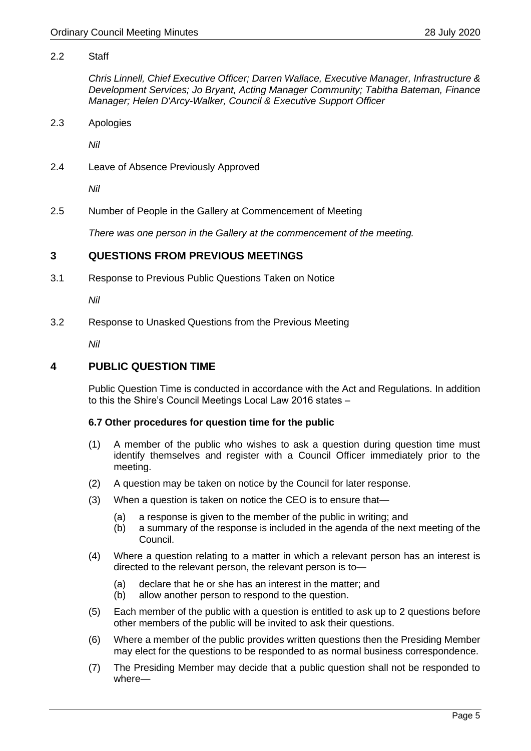#### <span id="page-4-0"></span>2.2 Staff

*Chris Linnell, Chief Executive Officer; Darren Wallace, Executive Manager, Infrastructure & Development Services; Jo Bryant, Acting Manager Community; Tabitha Bateman, Finance Manager; Helen D'Arcy-Walker, Council & Executive Support Officer*

<span id="page-4-1"></span>2.3 Apologies

*Nil*

<span id="page-4-2"></span>2.4 Leave of Absence Previously Approved

*Nil*

<span id="page-4-3"></span>2.5 Number of People in the Gallery at Commencement of Meeting

*There was one person in the Gallery at the commencement of the meeting.*

#### <span id="page-4-4"></span>**3 QUESTIONS FROM PREVIOUS MEETINGS**

<span id="page-4-5"></span>3.1 Response to Previous Public Questions Taken on Notice

*Nil*

<span id="page-4-6"></span>3.2 Response to Unasked Questions from the Previous Meeting

*Nil*

#### <span id="page-4-7"></span>**4 PUBLIC QUESTION TIME**

Public Question Time is conducted in accordance with the Act and Regulations. In addition to this the Shire's Council Meetings Local Law 2016 states –

#### **6.7 Other procedures for question time for the public**

- (1) A member of the public who wishes to ask a question during question time must identify themselves and register with a Council Officer immediately prior to the meeting.
- (2) A question may be taken on notice by the Council for later response.
- (3) When a question is taken on notice the CEO is to ensure that—
	- (a) a response is given to the member of the public in writing; and
	- (b) a summary of the response is included in the agenda of the next meeting of the Council.
- (4) Where a question relating to a matter in which a relevant person has an interest is directed to the relevant person, the relevant person is to—
	- (a) declare that he or she has an interest in the matter; and
	- (b) allow another person to respond to the question.
- (5) Each member of the public with a question is entitled to ask up to 2 questions before other members of the public will be invited to ask their questions.
- (6) Where a member of the public provides written questions then the Presiding Member may elect for the questions to be responded to as normal business correspondence.
- (7) The Presiding Member may decide that a public question shall not be responded to where—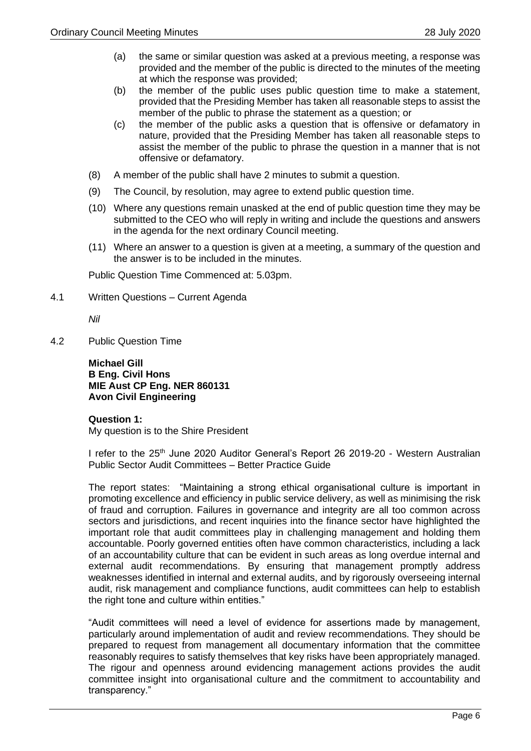- (a) the same or similar question was asked at a previous meeting, a response was provided and the member of the public is directed to the minutes of the meeting at which the response was provided;
- (b) the member of the public uses public question time to make a statement, provided that the Presiding Member has taken all reasonable steps to assist the member of the public to phrase the statement as a question; or
- (c) the member of the public asks a question that is offensive or defamatory in nature, provided that the Presiding Member has taken all reasonable steps to assist the member of the public to phrase the question in a manner that is not offensive or defamatory.
- (8) A member of the public shall have 2 minutes to submit a question.
- (9) The Council, by resolution, may agree to extend public question time.
- (10) Where any questions remain unasked at the end of public question time they may be submitted to the CEO who will reply in writing and include the questions and answers in the agenda for the next ordinary Council meeting.
- (11) Where an answer to a question is given at a meeting, a summary of the question and the answer is to be included in the minutes.

Public Question Time Commenced at: 5.03pm.

<span id="page-5-0"></span>4.1 Written Questions – Current Agenda

*Nil*

<span id="page-5-1"></span>4.2 Public Question Time

**Michael Gill B Eng. Civil Hons MIE Aust CP Eng. NER 860131 Avon Civil Engineering**

#### **Question 1:**

My question is to the Shire President

I refer to the 25<sup>th</sup> June 2020 Auditor General's Report 26 2019-20 - Western Australian Public Sector Audit Committees – Better Practice Guide

The report states: "Maintaining a strong ethical organisational culture is important in promoting excellence and efficiency in public service delivery, as well as minimising the risk of fraud and corruption. Failures in governance and integrity are all too common across sectors and jurisdictions, and recent inquiries into the finance sector have highlighted the important role that audit committees play in challenging management and holding them accountable. Poorly governed entities often have common characteristics, including a lack of an accountability culture that can be evident in such areas as long overdue internal and external audit recommendations. By ensuring that management promptly address weaknesses identified in internal and external audits, and by rigorously overseeing internal audit, risk management and compliance functions, audit committees can help to establish the right tone and culture within entities."

"Audit committees will need a level of evidence for assertions made by management, particularly around implementation of audit and review recommendations. They should be prepared to request from management all documentary information that the committee reasonably requires to satisfy themselves that key risks have been appropriately managed. The rigour and openness around evidencing management actions provides the audit committee insight into organisational culture and the commitment to accountability and transparency."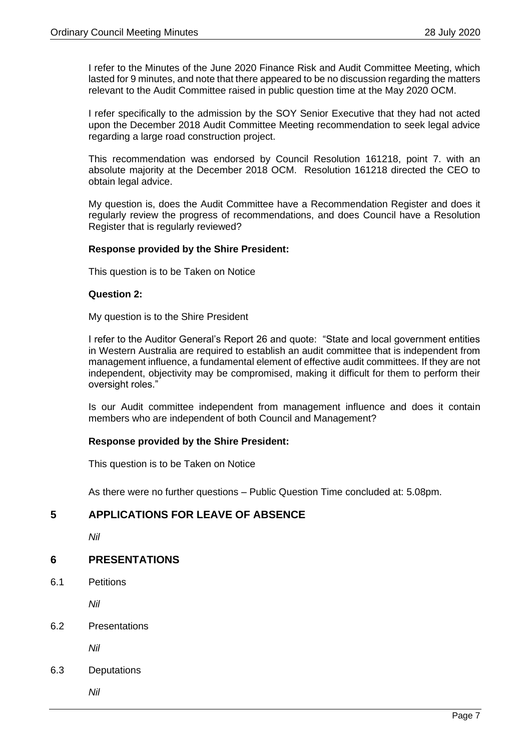I refer to the Minutes of the June 2020 Finance Risk and Audit Committee Meeting, which lasted for 9 minutes, and note that there appeared to be no discussion regarding the matters relevant to the Audit Committee raised in public question time at the May 2020 OCM.

I refer specifically to the admission by the SOY Senior Executive that they had not acted upon the December 2018 Audit Committee Meeting recommendation to seek legal advice regarding a large road construction project.

This recommendation was endorsed by Council Resolution 161218, point 7. with an absolute majority at the December 2018 OCM. Resolution 161218 directed the CEO to obtain legal advice.

My question is, does the Audit Committee have a Recommendation Register and does it regularly review the progress of recommendations, and does Council have a Resolution Register that is regularly reviewed?

#### **Response provided by the Shire President:**

This question is to be Taken on Notice

#### **Question 2:**

My question is to the Shire President

I refer to the Auditor General's Report 26 and quote: "State and local government entities in Western Australia are required to establish an audit committee that is independent from management influence, a fundamental element of effective audit committees. If they are not independent, objectivity may be compromised, making it difficult for them to perform their oversight roles."

Is our Audit committee independent from management influence and does it contain members who are independent of both Council and Management?

#### **Response provided by the Shire President:**

This question is to be Taken on Notice

As there were no further questions – Public Question Time concluded at: 5.08pm.

#### <span id="page-6-0"></span>**5 APPLICATIONS FOR LEAVE OF ABSENCE**

*Nil*

#### <span id="page-6-1"></span>**6 PRESENTATIONS**

<span id="page-6-2"></span>6.1 Petitions

*Nil*

<span id="page-6-3"></span>6.2 Presentations

*Nil*

<span id="page-6-4"></span>6.3 Deputations

*Nil*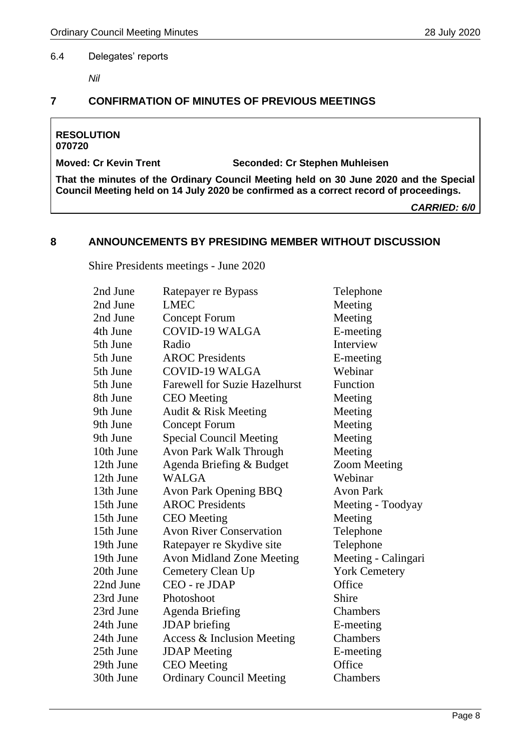#### <span id="page-7-0"></span>6.4 Delegates' reports

*Nil*

#### <span id="page-7-1"></span>**7 CONFIRMATION OF MINUTES OF PREVIOUS MEETINGS**

### **RESOLUTION**

**070720**

**Moved: Cr Kevin Trent Seconded: Cr Stephen Muhleisen**

**That the minutes of the Ordinary Council Meeting held on 30 June 2020 and the Special Council Meeting held on 14 July 2020 be confirmed as a correct record of proceedings.**

*CARRIED: 6/0*

#### <span id="page-7-2"></span>**8 ANNOUNCEMENTS BY PRESIDING MEMBER WITHOUT DISCUSSION**

Shire Presidents meetings - June 2020

| 2nd June  | Ratepayer re Bypass                  | Telephone            |
|-----------|--------------------------------------|----------------------|
| 2nd June  | <b>LMEC</b>                          | Meeting              |
| 2nd June  | <b>Concept Forum</b>                 | Meeting              |
| 4th June  | <b>COVID-19 WALGA</b>                | E-meeting            |
| 5th June  | Radio                                | Interview            |
| 5th June  | <b>AROC</b> Presidents               | E-meeting            |
| 5th June  | <b>COVID-19 WALGA</b>                | Webinar              |
| 5th June  | <b>Farewell for Suzie Hazelhurst</b> | Function             |
| 8th June  | <b>CEO</b> Meeting                   | Meeting              |
| 9th June  | Audit & Risk Meeting                 | Meeting              |
| 9th June  | <b>Concept Forum</b>                 | Meeting              |
| 9th June  | <b>Special Council Meeting</b>       | Meeting              |
| 10th June | <b>Avon Park Walk Through</b>        | Meeting              |
| 12th June | Agenda Briefing & Budget             | <b>Zoom Meeting</b>  |
| 12th June | <b>WALGA</b>                         | Webinar              |
| 13th June | <b>Avon Park Opening BBQ</b>         | <b>Avon Park</b>     |
| 15th June | <b>AROC</b> Presidents               | Meeting - Toodyay    |
| 15th June | <b>CEO</b> Meeting                   | Meeting              |
| 15th June | <b>Avon River Conservation</b>       | Telephone            |
| 19th June | Ratepayer re Skydive site            | Telephone            |
| 19th June | <b>Avon Midland Zone Meeting</b>     | Meeting - Calingari  |
| 20th June | Cemetery Clean Up                    | <b>York Cemetery</b> |
| 22nd June | CEO - re JDAP                        | Office               |
| 23rd June | Photoshoot                           | Shire                |
| 23rd June | <b>Agenda Briefing</b>               | Chambers             |
| 24th June | <b>JDAP</b> briefing                 | E-meeting            |
| 24th June | Access & Inclusion Meeting           | Chambers             |
| 25th June | <b>JDAP</b> Meeting                  | E-meeting            |
| 29th June | <b>CEO</b> Meeting                   | Office               |
| 30th June | <b>Ordinary Council Meeting</b>      | Chambers             |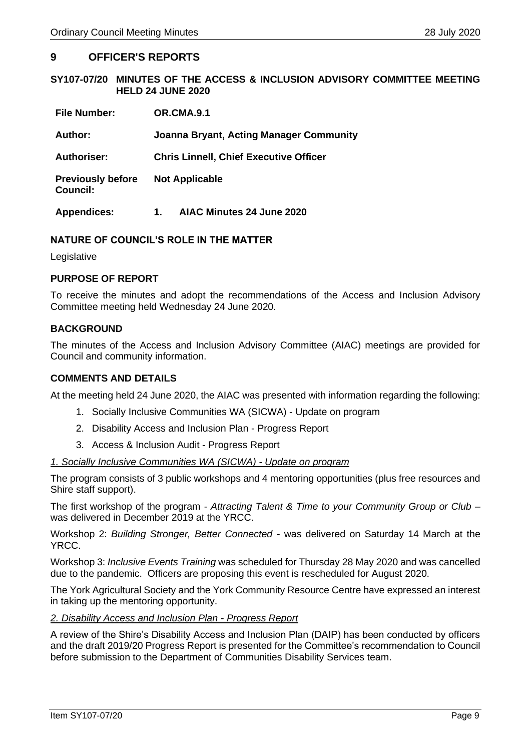#### <span id="page-8-0"></span>**9 OFFICER'S REPORTS**

#### <span id="page-8-1"></span>**SY107-07/20 MINUTES OF THE ACCESS & INCLUSION ADVISORY COMMITTEE MEETING HELD 24 JUNE 2020**

| <b>File Number:</b>                         | OR.CMA.9.1                                     |
|---------------------------------------------|------------------------------------------------|
| Author:                                     | <b>Joanna Bryant, Acting Manager Community</b> |
| <b>Authoriser:</b>                          | <b>Chris Linnell, Chief Executive Officer</b>  |
| <b>Previously before</b><br><b>Council:</b> | <b>Not Applicable</b>                          |
| <b>Appendices:</b>                          | AIAC Minutes 24 June 2020<br>1.                |

#### **NATURE OF COUNCIL'S ROLE IN THE MATTER**

Legislative

#### **PURPOSE OF REPORT**

To receive the minutes and adopt the recommendations of the Access and Inclusion Advisory Committee meeting held Wednesday 24 June 2020.

#### **BACKGROUND**

The minutes of the Access and Inclusion Advisory Committee (AIAC) meetings are provided for Council and community information.

#### **COMMENTS AND DETAILS**

At the meeting held 24 June 2020, the AIAC was presented with information regarding the following:

- 1. Socially Inclusive Communities WA (SICWA) Update on program
- 2. Disability Access and Inclusion Plan Progress Report
- 3. Access & Inclusion Audit Progress Report

#### *1. Socially Inclusive Communities WA (SICWA) - Update on program*

The program consists of 3 public workshops and 4 mentoring opportunities (plus free resources and Shire staff support).

The first workshop of the program - *Attracting Talent & Time to your Community Group or Club* – was delivered in December 2019 at the YRCC.

Workshop 2: *Building Stronger, Better Connected -* was delivered on Saturday 14 March at the YRCC.

Workshop 3: *Inclusive Events Training* was scheduled for Thursday 28 May 2020 and was cancelled due to the pandemic. Officers are proposing this event is rescheduled for August 2020.

The York Agricultural Society and the York Community Resource Centre have expressed an interest in taking up the mentoring opportunity.

#### *2. Disability Access and Inclusion Plan - Progress Report*

A review of the Shire's Disability Access and Inclusion Plan (DAIP) has been conducted by officers and the draft 2019/20 Progress Report is presented for the Committee's recommendation to Council before submission to the Department of Communities Disability Services team.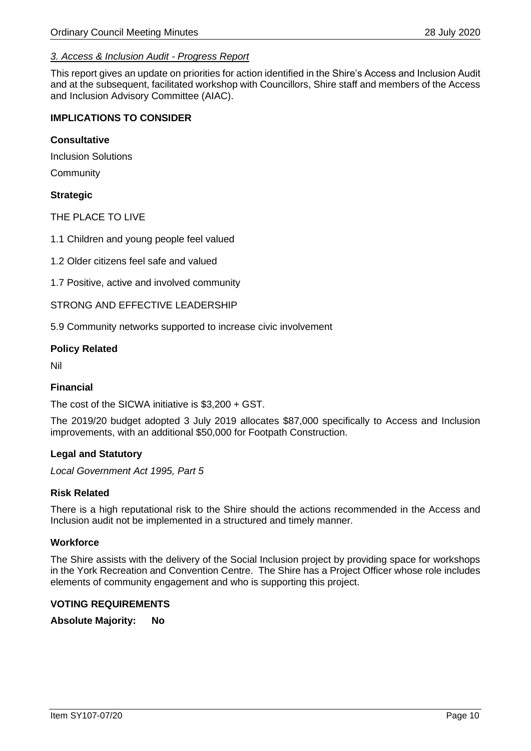#### *3. Access & Inclusion Audit - Progress Report*

This report gives an update on priorities for action identified in the Shire's Access and Inclusion Audit and at the subsequent, facilitated workshop with Councillors, Shire staff and members of the Access and Inclusion Advisory Committee (AIAC).

#### **IMPLICATIONS TO CONSIDER**

#### **Consultative**

Inclusion Solutions

**Community** 

#### **Strategic**

THE PLACE TO LIVE

1.1 Children and young people feel valued

1.2 Older citizens feel safe and valued

1.7 Positive, active and involved community

STRONG AND EFFECTIVE LEADERSHIP

5.9 Community networks supported to increase civic involvement

#### **Policy Related**

Nil

#### **Financial**

The cost of the SICWA initiative is \$3,200 + GST.

The 2019/20 budget adopted 3 July 2019 allocates \$87,000 specifically to Access and Inclusion improvements, with an additional \$50,000 for Footpath Construction.

#### **Legal and Statutory**

*Local Government Act 1995, Part 5*

#### **Risk Related**

There is a high reputational risk to the Shire should the actions recommended in the Access and Inclusion audit not be implemented in a structured and timely manner.

#### **Workforce**

The Shire assists with the delivery of the Social Inclusion project by providing space for workshops in the York Recreation and Convention Centre. The Shire has a Project Officer whose role includes elements of community engagement and who is supporting this project.

#### **VOTING REQUIREMENTS**

**Absolute Majority: No**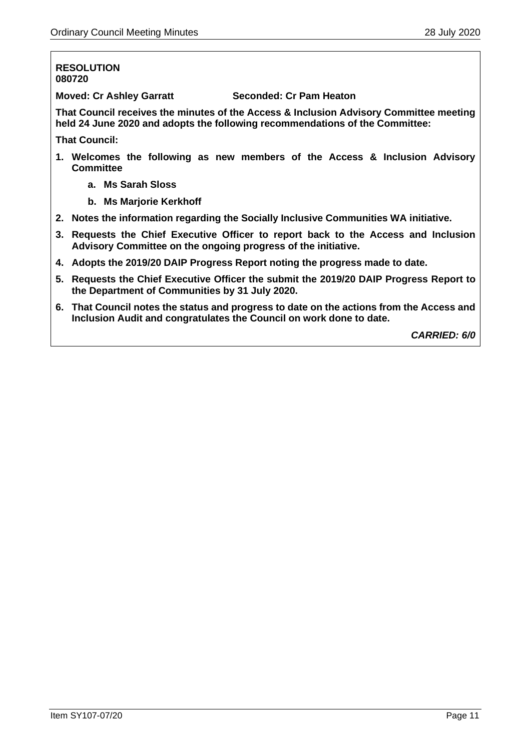#### **RESOLUTION 080720**

**Moved: Cr Ashley Garratt Seconded: Cr Pam Heaton**

**That Council receives the minutes of the Access & Inclusion Advisory Committee meeting held 24 June 2020 and adopts the following recommendations of the Committee:**

**That Council:**

- **1. Welcomes the following as new members of the Access & Inclusion Advisory Committee**
	- **a. Ms Sarah Sloss**
	- **b. Ms Marjorie Kerkhoff**
- **2. Notes the information regarding the Socially Inclusive Communities WA initiative.**
- **3. Requests the Chief Executive Officer to report back to the Access and Inclusion Advisory Committee on the ongoing progress of the initiative.**
- **4. Adopts the 2019/20 DAIP Progress Report noting the progress made to date.**
- **5. Requests the Chief Executive Officer the submit the 2019/20 DAIP Progress Report to the Department of Communities by 31 July 2020.**
- **6. That Council notes the status and progress to date on the actions from the Access and Inclusion Audit and congratulates the Council on work done to date.**

*CARRIED: 6/0*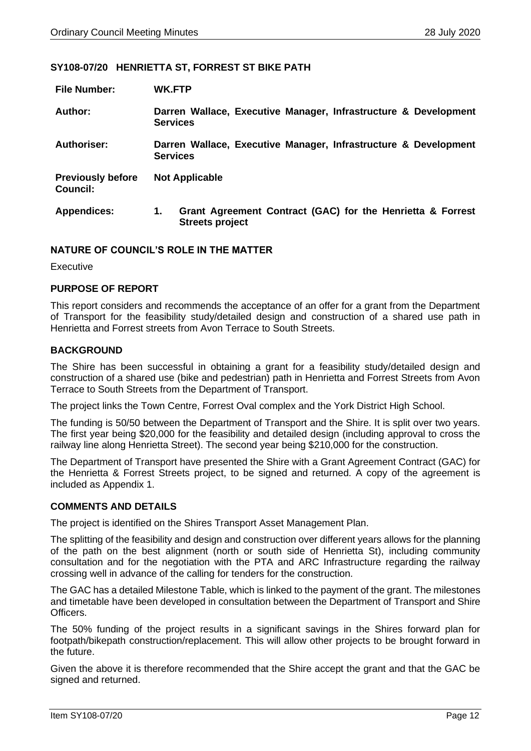#### <span id="page-11-0"></span>**SY108-07/20 HENRIETTA ST, FORREST ST BIKE PATH**

| <b>File Number:</b>                         | WK.FTP                                                                                     |  |
|---------------------------------------------|--------------------------------------------------------------------------------------------|--|
| Author:                                     | Darren Wallace, Executive Manager, Infrastructure & Development<br><b>Services</b>         |  |
| Authoriser:                                 | Darren Wallace, Executive Manager, Infrastructure & Development<br><b>Services</b>         |  |
| <b>Previously before</b><br><b>Council:</b> | <b>Not Applicable</b>                                                                      |  |
| <b>Appendices:</b>                          | Grant Agreement Contract (GAC) for the Henrietta & Forrest<br>1.<br><b>Streets project</b> |  |

#### **NATURE OF COUNCIL'S ROLE IN THE MATTER**

**Executive** 

#### **PURPOSE OF REPORT**

This report considers and recommends the acceptance of an offer for a grant from the Department of Transport for the feasibility study/detailed design and construction of a shared use path in Henrietta and Forrest streets from Avon Terrace to South Streets.

#### **BACKGROUND**

The Shire has been successful in obtaining a grant for a feasibility study/detailed design and construction of a shared use (bike and pedestrian) path in Henrietta and Forrest Streets from Avon Terrace to South Streets from the Department of Transport.

The project links the Town Centre, Forrest Oval complex and the York District High School.

The funding is 50/50 between the Department of Transport and the Shire. It is split over two years. The first year being \$20,000 for the feasibility and detailed design (including approval to cross the railway line along Henrietta Street). The second year being \$210,000 for the construction.

The Department of Transport have presented the Shire with a Grant Agreement Contract (GAC) for the Henrietta & Forrest Streets project, to be signed and returned. A copy of the agreement is included as Appendix 1.

#### **COMMENTS AND DETAILS**

The project is identified on the Shires Transport Asset Management Plan.

The splitting of the feasibility and design and construction over different years allows for the planning of the path on the best alignment (north or south side of Henrietta St), including community consultation and for the negotiation with the PTA and ARC Infrastructure regarding the railway crossing well in advance of the calling for tenders for the construction.

The GAC has a detailed Milestone Table, which is linked to the payment of the grant. The milestones and timetable have been developed in consultation between the Department of Transport and Shire **Officers** 

The 50% funding of the project results in a significant savings in the Shires forward plan for footpath/bikepath construction/replacement. This will allow other projects to be brought forward in the future.

Given the above it is therefore recommended that the Shire accept the grant and that the GAC be signed and returned.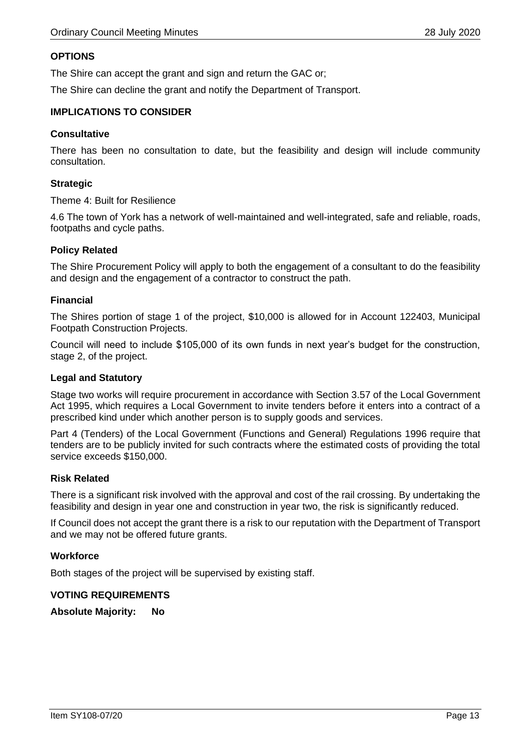#### **OPTIONS**

The Shire can accept the grant and sign and return the GAC or;

The Shire can decline the grant and notify the Department of Transport.

#### **IMPLICATIONS TO CONSIDER**

#### **Consultative**

There has been no consultation to date, but the feasibility and design will include community consultation.

#### **Strategic**

Theme 4: Built for Resilience

4.6 The town of York has a network of well-maintained and well-integrated, safe and reliable, roads, footpaths and cycle paths.

#### **Policy Related**

The Shire Procurement Policy will apply to both the engagement of a consultant to do the feasibility and design and the engagement of a contractor to construct the path.

#### **Financial**

The Shires portion of stage 1 of the project, \$10,000 is allowed for in Account 122403, Municipal Footpath Construction Projects.

Council will need to include \$105,000 of its own funds in next year's budget for the construction, stage 2, of the project.

#### **Legal and Statutory**

Stage two works will require procurement in accordance with Section 3.57 of the Local Government Act 1995, which requires a Local Government to invite tenders before it enters into a contract of a prescribed kind under which another person is to supply goods and services.

Part 4 (Tenders) of the Local Government (Functions and General) Regulations 1996 require that tenders are to be publicly invited for such contracts where the estimated costs of providing the total service exceeds \$150,000.

#### **Risk Related**

There is a significant risk involved with the approval and cost of the rail crossing. By undertaking the feasibility and design in year one and construction in year two, the risk is significantly reduced.

If Council does not accept the grant there is a risk to our reputation with the Department of Transport and we may not be offered future grants.

#### **Workforce**

Both stages of the project will be supervised by existing staff.

#### **VOTING REQUIREMENTS**

**Absolute Majority: No**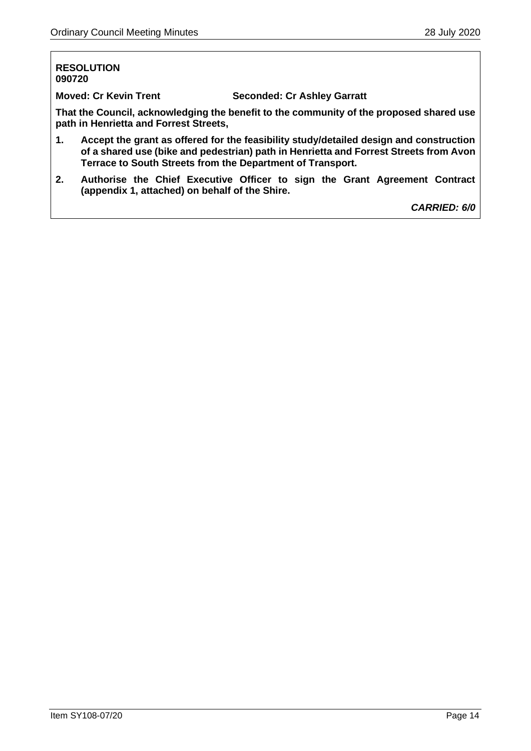#### **RESOLUTION 090720**

**Moved: Cr Kevin Trent Seconded: Cr Ashley Garratt**

**That the Council, acknowledging the benefit to the community of the proposed shared use path in Henrietta and Forrest Streets,**

- **1. Accept the grant as offered for the feasibility study/detailed design and construction of a shared use (bike and pedestrian) path in Henrietta and Forrest Streets from Avon Terrace to South Streets from the Department of Transport.**
- **2. Authorise the Chief Executive Officer to sign the Grant Agreement Contract (appendix 1, attached) on behalf of the Shire.**

*CARRIED: 6/0*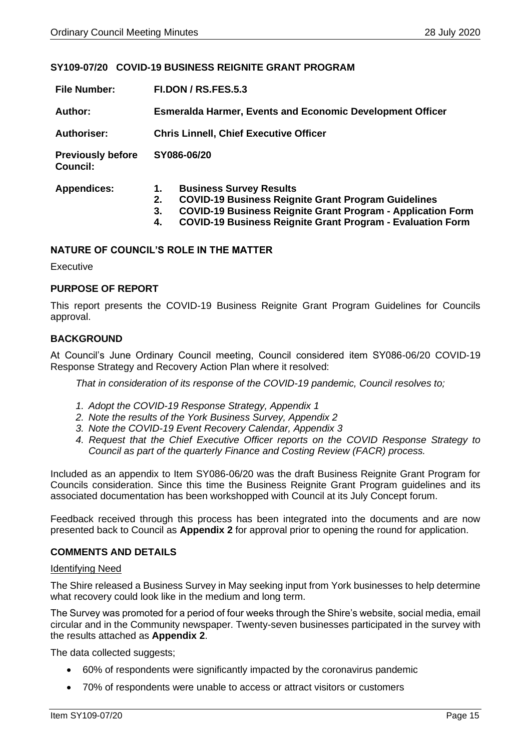#### <span id="page-14-0"></span>**SY109-07/20 COVID-19 BUSINESS REIGNITE GRANT PROGRAM**

| <b>File Number:</b>                         | <b>FI.DON / RS.FES.5.3</b>                                                                                                                                                                                                                                      |  |
|---------------------------------------------|-----------------------------------------------------------------------------------------------------------------------------------------------------------------------------------------------------------------------------------------------------------------|--|
| Author:                                     | <b>Esmeralda Harmer, Events and Economic Development Officer</b>                                                                                                                                                                                                |  |
| <b>Authoriser:</b>                          | <b>Chris Linnell, Chief Executive Officer</b>                                                                                                                                                                                                                   |  |
| <b>Previously before</b><br><b>Council:</b> | SY086-06/20                                                                                                                                                                                                                                                     |  |
| <b>Appendices:</b>                          | <b>Business Survey Results</b><br>1.<br><b>COVID-19 Business Reignite Grant Program Guidelines</b><br>2.<br><b>COVID-19 Business Reignite Grant Program - Application Form</b><br>3.<br><b>COVID-19 Business Reignite Grant Program - Evaluation Form</b><br>4. |  |

#### **NATURE OF COUNCIL'S ROLE IN THE MATTER**

**Executive** 

#### **PURPOSE OF REPORT**

This report presents the COVID-19 Business Reignite Grant Program Guidelines for Councils approval.

#### **BACKGROUND**

At Council's June Ordinary Council meeting, Council considered item SY086-06/20 COVID-19 Response Strategy and Recovery Action Plan where it resolved:

*That in consideration of its response of the COVID-19 pandemic, Council resolves to;* 

- *1. Adopt the COVID-19 Response Strategy, Appendix 1*
- *2. Note the results of the York Business Survey, Appendix 2*
- *3. Note the COVID-19 Event Recovery Calendar, Appendix 3*
- *4. Request that the Chief Executive Officer reports on the COVID Response Strategy to Council as part of the quarterly Finance and Costing Review (FACR) process.*

Included as an appendix to Item SY086-06/20 was the draft Business Reignite Grant Program for Councils consideration. Since this time the Business Reignite Grant Program guidelines and its associated documentation has been workshopped with Council at its July Concept forum.

Feedback received through this process has been integrated into the documents and are now presented back to Council as **Appendix 2** for approval prior to opening the round for application.

#### **COMMENTS AND DETAILS**

#### Identifying Need

The Shire released a Business Survey in May seeking input from York businesses to help determine what recovery could look like in the medium and long term.

The Survey was promoted for a period of four weeks through the Shire's website, social media, email circular and in the Community newspaper. Twenty-seven businesses participated in the survey with the results attached as **Appendix 2**.

The data collected suggests;

- 60% of respondents were significantly impacted by the coronavirus pandemic
- 70% of respondents were unable to access or attract visitors or customers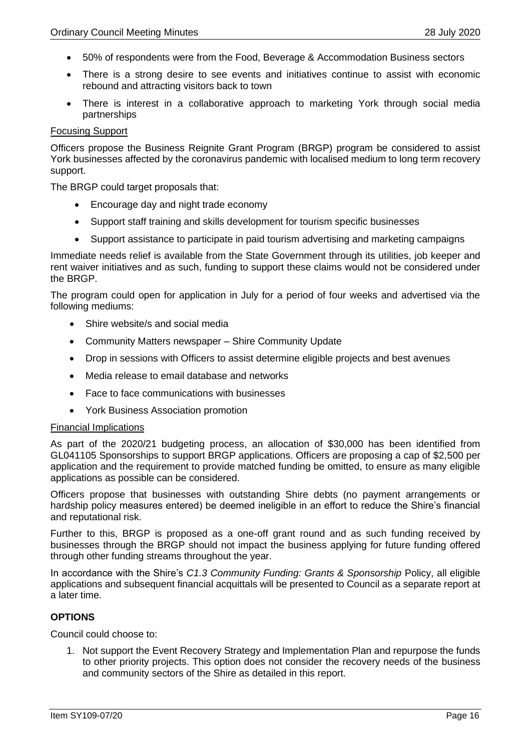- 50% of respondents were from the Food, Beverage & Accommodation Business sectors
- There is a strong desire to see events and initiatives continue to assist with economic rebound and attracting visitors back to town
- There is interest in a collaborative approach to marketing York through social media partnerships

#### Focusing Support

Officers propose the Business Reignite Grant Program (BRGP) program be considered to assist York businesses affected by the coronavirus pandemic with localised medium to long term recovery support.

The BRGP could target proposals that:

- Encourage day and night trade economy
- Support staff training and skills development for tourism specific businesses
- Support assistance to participate in paid tourism advertising and marketing campaigns

Immediate needs relief is available from the State Government through its utilities, job keeper and rent waiver initiatives and as such, funding to support these claims would not be considered under the BRGP.

The program could open for application in July for a period of four weeks and advertised via the following mediums:

- Shire website/s and social media
- Community Matters newspaper Shire Community Update
- Drop in sessions with Officers to assist determine eligible projects and best avenues
- Media release to email database and networks
- Face to face communications with businesses
- York Business Association promotion

#### Financial Implications

As part of the 2020/21 budgeting process, an allocation of \$30,000 has been identified from GL041105 Sponsorships to support BRGP applications. Officers are proposing a cap of \$2,500 per application and the requirement to provide matched funding be omitted, to ensure as many eligible applications as possible can be considered.

Officers propose that businesses with outstanding Shire debts (no payment arrangements or hardship policy measures entered) be deemed ineligible in an effort to reduce the Shire's financial and reputational risk.

Further to this, BRGP is proposed as a one-off grant round and as such funding received by businesses through the BRGP should not impact the business applying for future funding offered through other funding streams throughout the year.

In accordance with the Shire's *C1.3 Community Funding: Grants & Sponsorship* Policy, all eligible applications and subsequent financial acquittals will be presented to Council as a separate report at a later time.

#### **OPTIONS**

Council could choose to:

1. Not support the Event Recovery Strategy and Implementation Plan and repurpose the funds to other priority projects. This option does not consider the recovery needs of the business and community sectors of the Shire as detailed in this report.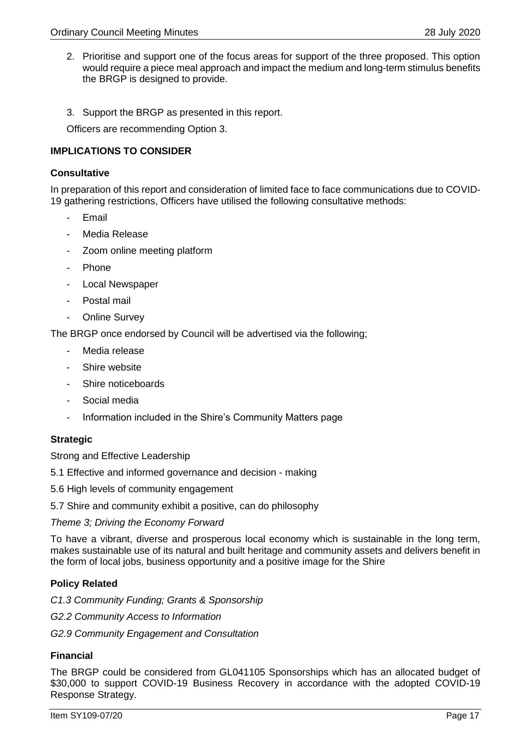- 2. Prioritise and support one of the focus areas for support of the three proposed. This option would require a piece meal approach and impact the medium and long-term stimulus benefits the BRGP is designed to provide.
- 3. Support the BRGP as presented in this report.

Officers are recommending Option 3.

#### **IMPLICATIONS TO CONSIDER**

#### **Consultative**

In preparation of this report and consideration of limited face to face communications due to COVID-19 gathering restrictions, Officers have utilised the following consultative methods:

- **Email**
- Media Release
- Zoom online meeting platform
- Phone
- Local Newspaper
- Postal mail
- Online Survey

The BRGP once endorsed by Council will be advertised via the following;

- Media release
- Shire website
- Shire noticeboards
- Social media
- Information included in the Shire's Community Matters page

#### **Strategic**

Strong and Effective Leadership

5.1 Effective and informed governance and decision - making

5.6 High levels of community engagement

5.7 Shire and community exhibit a positive, can do philosophy

*Theme 3; Driving the Economy Forward* 

To have a vibrant, diverse and prosperous local economy which is sustainable in the long term, makes sustainable use of its natural and built heritage and community assets and delivers benefit in the form of local jobs, business opportunity and a positive image for the Shire

#### **Policy Related**

*C1.3 Community Funding; Grants & Sponsorship G2.2 Community Access to Information G2.9 Community Engagement and Consultation* 

#### **Financial**

The BRGP could be considered from GL041105 Sponsorships which has an allocated budget of \$30,000 to support COVID-19 Business Recovery in accordance with the adopted COVID-19 Response Strategy.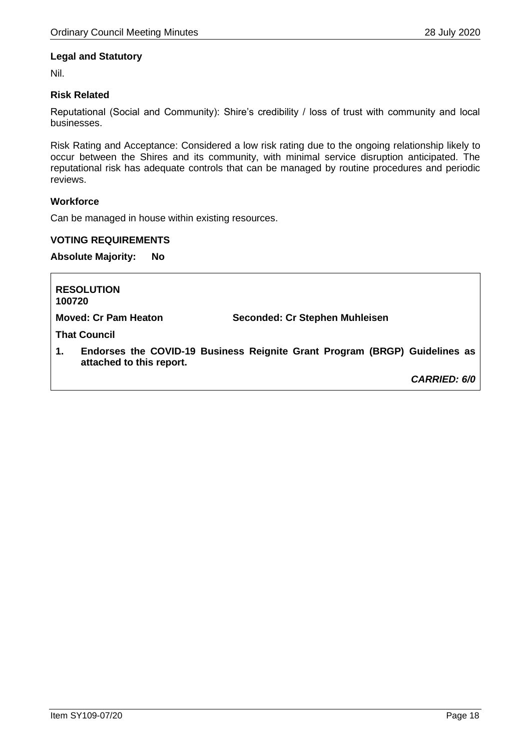#### **Legal and Statutory**

Nil.

#### **Risk Related**

Reputational (Social and Community): Shire's credibility / loss of trust with community and local businesses.

Risk Rating and Acceptance: Considered a low risk rating due to the ongoing relationship likely to occur between the Shires and its community, with minimal service disruption anticipated. The reputational risk has adequate controls that can be managed by routine procedures and periodic reviews.

#### **Workforce**

Can be managed in house within existing resources.

#### **VOTING REQUIREMENTS**

**Absolute Majority: No**

| <b>RESOLUTION</b><br>100720    |                                                                            |
|--------------------------------|----------------------------------------------------------------------------|
| <b>Moved: Cr Pam Heaton</b>    | Seconded: Cr Stephen Muhleisen                                             |
| <b>That Council</b>            |                                                                            |
| 1.<br>attached to this report. | Endorses the COVID-19 Business Reignite Grant Program (BRGP) Guidelines as |
|                                | <b>CARRIED: 6/0</b>                                                        |
|                                |                                                                            |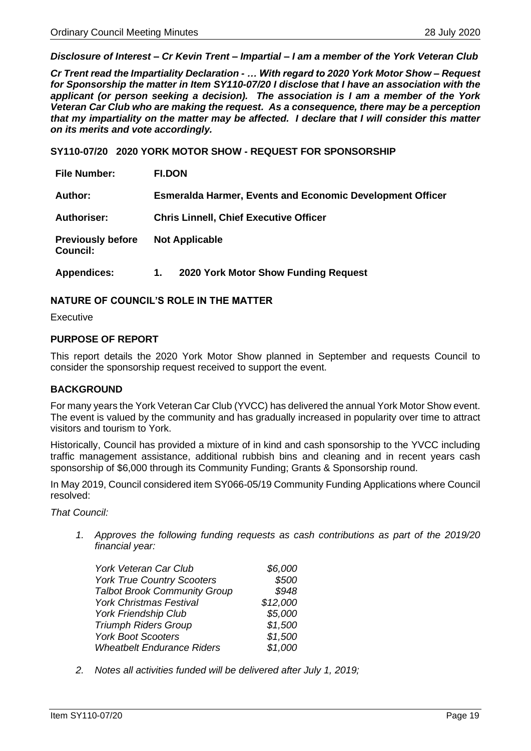<span id="page-18-0"></span>*Disclosure of Interest – Cr Kevin Trent – Impartial – I am a member of the York Veteran Club*

*Cr Trent read the Impartiality Declaration - … With regard to 2020 York Motor Show – Request for Sponsorship the matter in Item SY110-07/20 I disclose that I have an association with the applicant (or person seeking a decision). The association is I am a member of the York Veteran Car Club who are making the request. As a consequence, there may be a perception that my impartiality on the matter may be affected. I declare that I will consider this matter on its merits and vote accordingly.*

**SY110-07/20 2020 YORK MOTOR SHOW - REQUEST FOR SPONSORSHIP**

| <b>File Number:</b>                         | <b>FI.DON</b>                                                    |
|---------------------------------------------|------------------------------------------------------------------|
| Author:                                     | <b>Esmeralda Harmer, Events and Economic Development Officer</b> |
| <b>Authoriser:</b>                          | <b>Chris Linnell, Chief Executive Officer</b>                    |
| <b>Previously before</b><br><b>Council:</b> | <b>Not Applicable</b>                                            |

**Appendices: 1. 2020 York Motor Show Funding Request** 

#### **NATURE OF COUNCIL'S ROLE IN THE MATTER**

Executive

#### **PURPOSE OF REPORT**

This report details the 2020 York Motor Show planned in September and requests Council to consider the sponsorship request received to support the event.

#### **BACKGROUND**

For many years the York Veteran Car Club (YVCC) has delivered the annual York Motor Show event. The event is valued by the community and has gradually increased in popularity over time to attract visitors and tourism to York.

Historically, Council has provided a mixture of in kind and cash sponsorship to the YVCC including traffic management assistance, additional rubbish bins and cleaning and in recent years cash sponsorship of \$6,000 through its Community Funding; Grants & Sponsorship round.

In May 2019, Council considered item SY066-05/19 Community Funding Applications where Council resolved:

*That Council:* 

*1. Approves the following funding requests as cash contributions as part of the 2019/20 financial year:* 

| York Veteran Car Club               | \$6,000  |
|-------------------------------------|----------|
| <b>York True Country Scooters</b>   | \$500    |
| <b>Talbot Brook Community Group</b> | \$948    |
| <b>York Christmas Festival</b>      | \$12,000 |
| <b>York Friendship Club</b>         | \$5,000  |
| <b>Triumph Riders Group</b>         | \$1,500  |
| <b>York Boot Scooters</b>           | \$1,500  |
| <b>Wheatbelt Endurance Riders</b>   | \$1,000  |

*2. Notes all activities funded will be delivered after July 1, 2019;*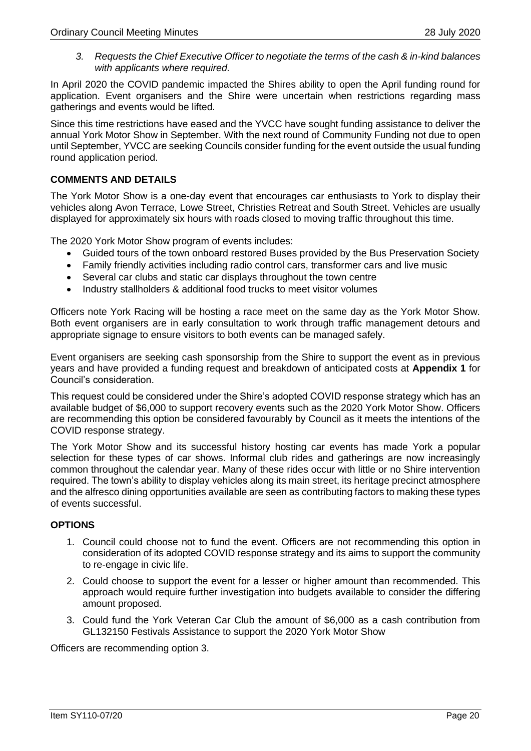*3. Requests the Chief Executive Officer to negotiate the terms of the cash & in-kind balances with applicants where required.* 

In April 2020 the COVID pandemic impacted the Shires ability to open the April funding round for application. Event organisers and the Shire were uncertain when restrictions regarding mass gatherings and events would be lifted.

Since this time restrictions have eased and the YVCC have sought funding assistance to deliver the annual York Motor Show in September. With the next round of Community Funding not due to open until September, YVCC are seeking Councils consider funding for the event outside the usual funding round application period.

#### **COMMENTS AND DETAILS**

The York Motor Show is a one-day event that encourages car enthusiasts to York to display their vehicles along Avon Terrace, Lowe Street, Christies Retreat and South Street. Vehicles are usually displayed for approximately six hours with roads closed to moving traffic throughout this time.

The 2020 York Motor Show program of events includes:

- Guided tours of the town onboard restored Buses provided by the Bus Preservation Society
- Family friendly activities including radio control cars, transformer cars and live music
- Several car clubs and static car displays throughout the town centre
- Industry stallholders & additional food trucks to meet visitor volumes

Officers note York Racing will be hosting a race meet on the same day as the York Motor Show. Both event organisers are in early consultation to work through traffic management detours and appropriate signage to ensure visitors to both events can be managed safely.

Event organisers are seeking cash sponsorship from the Shire to support the event as in previous years and have provided a funding request and breakdown of anticipated costs at **Appendix 1** for Council's consideration.

This request could be considered under the Shire's adopted COVID response strategy which has an available budget of \$6,000 to support recovery events such as the 2020 York Motor Show. Officers are recommending this option be considered favourably by Council as it meets the intentions of the COVID response strategy.

The York Motor Show and its successful history hosting car events has made York a popular selection for these types of car shows. Informal club rides and gatherings are now increasingly common throughout the calendar year. Many of these rides occur with little or no Shire intervention required. The town's ability to display vehicles along its main street, its heritage precinct atmosphere and the alfresco dining opportunities available are seen as contributing factors to making these types of events successful.

#### **OPTIONS**

- 1. Council could choose not to fund the event. Officers are not recommending this option in consideration of its adopted COVID response strategy and its aims to support the community to re-engage in civic life.
- 2. Could choose to support the event for a lesser or higher amount than recommended. This approach would require further investigation into budgets available to consider the differing amount proposed.
- 3. Could fund the York Veteran Car Club the amount of \$6,000 as a cash contribution from GL132150 Festivals Assistance to support the 2020 York Motor Show

Officers are recommending option 3.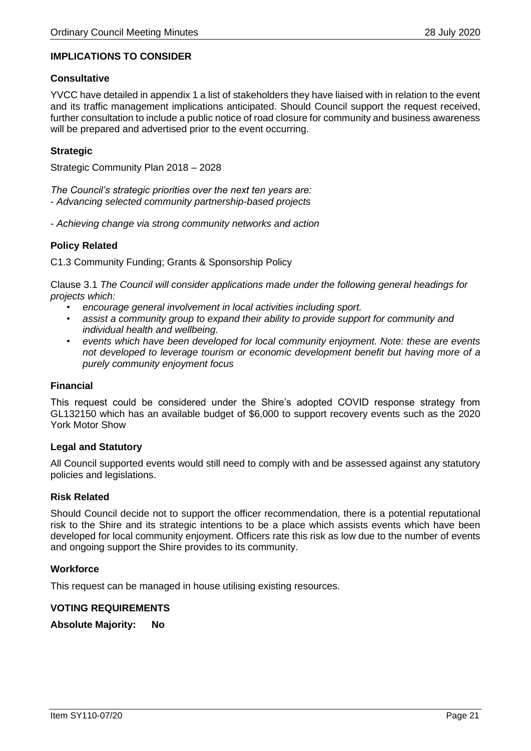#### **IMPLICATIONS TO CONSIDER**

#### **Consultative**

YVCC have detailed in appendix 1 a list of stakeholders they have liaised with in relation to the event and its traffic management implications anticipated. Should Council support the request received, further consultation to include a public notice of road closure for community and business awareness will be prepared and advertised prior to the event occurring.

#### **Strategic**

Strategic Community Plan 2018 – 2028

*The Council's strategic priorities over the next ten years are:*  - *Advancing selected community partnership-based projects* 

*- Achieving change via strong community networks and action*

#### **Policy Related**

C1.3 Community Funding; Grants & Sponsorship Policy

Clause 3.1 *The Council will consider applications made under the following general headings for projects which:*

- *encourage general involvement in local activities including sport.*
- *assist a community group to expand their ability to provide support for community and individual health and wellbeing.*
- *events which have been developed for local community enjoyment. Note: these are events not developed to leverage tourism or economic development benefit but having more of a purely community enjoyment focus*

#### **Financial**

This request could be considered under the Shire's adopted COVID response strategy from GL132150 which has an available budget of \$6,000 to support recovery events such as the 2020 York Motor Show

#### **Legal and Statutory**

All Council supported events would still need to comply with and be assessed against any statutory policies and legislations.

#### **Risk Related**

Should Council decide not to support the officer recommendation, there is a potential reputational risk to the Shire and its strategic intentions to be a place which assists events which have been developed for local community enjoyment. Officers rate this risk as low due to the number of events and ongoing support the Shire provides to its community.

#### **Workforce**

This request can be managed in house utilising existing resources.

#### **VOTING REQUIREMENTS**

**Absolute Majority: No**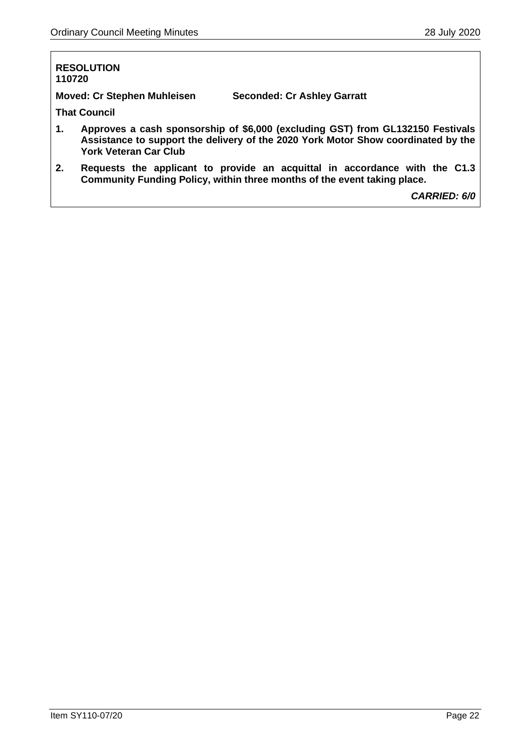#### **RESOLUTION 110720**

**Moved: Cr Stephen Muhleisen Seconded: Cr Ashley Garratt**

**That Council** 

- **1. Approves a cash sponsorship of \$6,000 (excluding GST) from GL132150 Festivals Assistance to support the delivery of the 2020 York Motor Show coordinated by the York Veteran Car Club**
- **2. Requests the applicant to provide an acquittal in accordance with the C1.3 Community Funding Policy, within three months of the event taking place.**

*CARRIED: 6/0*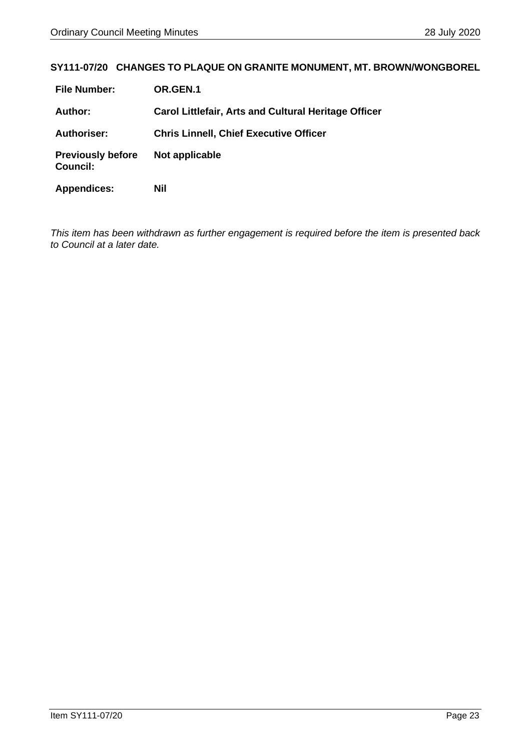#### <span id="page-22-0"></span>**SY111-07/20 CHANGES TO PLAQUE ON GRANITE MONUMENT, MT. BROWN/WONGBOREL**

| <b>File Number:</b>                         | OR.GEN.1                                                    |
|---------------------------------------------|-------------------------------------------------------------|
| <b>Author:</b>                              | <b>Carol Littlefair, Arts and Cultural Heritage Officer</b> |
| <b>Authoriser:</b>                          | <b>Chris Linnell, Chief Executive Officer</b>               |
| <b>Previously before</b><br><b>Council:</b> | Not applicable                                              |
| <b>Appendices:</b>                          | Nil                                                         |

*This item has been withdrawn as further engagement is required before the item is presented back to Council at a later date.*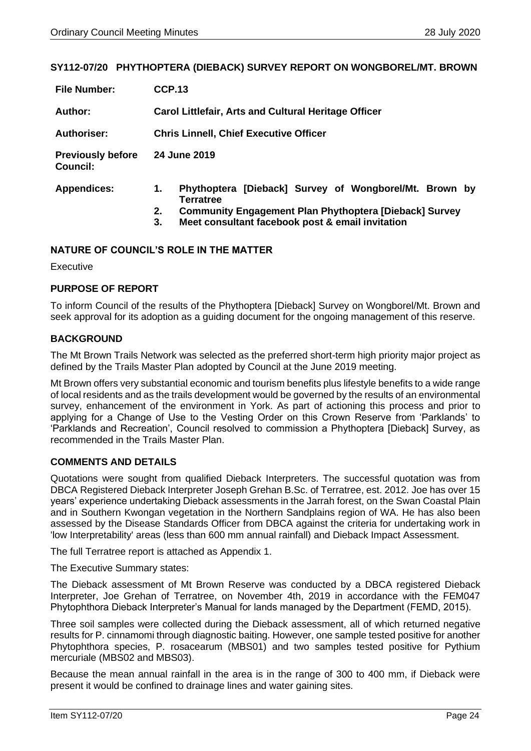#### <span id="page-23-0"></span>**SY112-07/20 PHYTHOPTERA (DIEBACK) SURVEY REPORT ON WONGBOREL/MT. BROWN**

| <b>File Number:</b>                         | <b>CCP.13</b>                                                                                                                                           |  |  |
|---------------------------------------------|---------------------------------------------------------------------------------------------------------------------------------------------------------|--|--|
| Author:                                     | <b>Carol Littlefair, Arts and Cultural Heritage Officer</b>                                                                                             |  |  |
| <b>Authoriser:</b>                          | <b>Chris Linnell, Chief Executive Officer</b>                                                                                                           |  |  |
| <b>Previously before</b><br><b>Council:</b> | 24 June 2019                                                                                                                                            |  |  |
| <b>Appendices:</b>                          | Phythoptera [Dieback] Survey of Wongborel/Mt. Brown by<br>1.<br><b>Terratree</b><br><b>Community Engagement Plan Phythoptera [Dieback] Survey</b><br>2. |  |  |
|                                             | Meet consultant facebook post & email invitation<br>3.                                                                                                  |  |  |

#### **NATURE OF COUNCIL'S ROLE IN THE MATTER**

**Executive** 

#### **PURPOSE OF REPORT**

To inform Council of the results of the Phythoptera [Dieback] Survey on Wongborel/Mt. Brown and seek approval for its adoption as a guiding document for the ongoing management of this reserve.

#### **BACKGROUND**

The Mt Brown Trails Network was selected as the preferred short-term high priority major project as defined by the Trails Master Plan adopted by Council at the June 2019 meeting.

Mt Brown offers very substantial economic and tourism benefits plus lifestyle benefits to a wide range of local residents and as the trails development would be governed by the results of an environmental survey, enhancement of the environment in York. As part of actioning this process and prior to applying for a Change of Use to the Vesting Order on this Crown Reserve from 'Parklands' to 'Parklands and Recreation', Council resolved to commission a Phythoptera [Dieback] Survey, as recommended in the Trails Master Plan.

#### **COMMENTS AND DETAILS**

Quotations were sought from qualified Dieback Interpreters. The successful quotation was from DBCA Registered Dieback Interpreter Joseph Grehan B.Sc. of Terratree, est. 2012. Joe has over 15 years' experience undertaking Dieback assessments in the Jarrah forest, on the Swan Coastal Plain and in Southern Kwongan vegetation in the Northern Sandplains region of WA. He has also been assessed by the Disease Standards Officer from DBCA against the criteria for undertaking work in 'low Interpretability' areas (less than 600 mm annual rainfall) and Dieback Impact Assessment.

The full Terratree report is attached as Appendix 1.

The Executive Summary states:

The Dieback assessment of Mt Brown Reserve was conducted by a DBCA registered Dieback Interpreter, Joe Grehan of Terratree, on November 4th, 2019 in accordance with the FEM047 Phytophthora Dieback Interpreter's Manual for lands managed by the Department (FEMD, 2015).

Three soil samples were collected during the Dieback assessment, all of which returned negative results for P. cinnamomi through diagnostic baiting. However, one sample tested positive for another Phytophthora species, P. rosacearum (MBS01) and two samples tested positive for Pythium mercuriale (MBS02 and MBS03).

Because the mean annual rainfall in the area is in the range of 300 to 400 mm, if Dieback were present it would be confined to drainage lines and water gaining sites.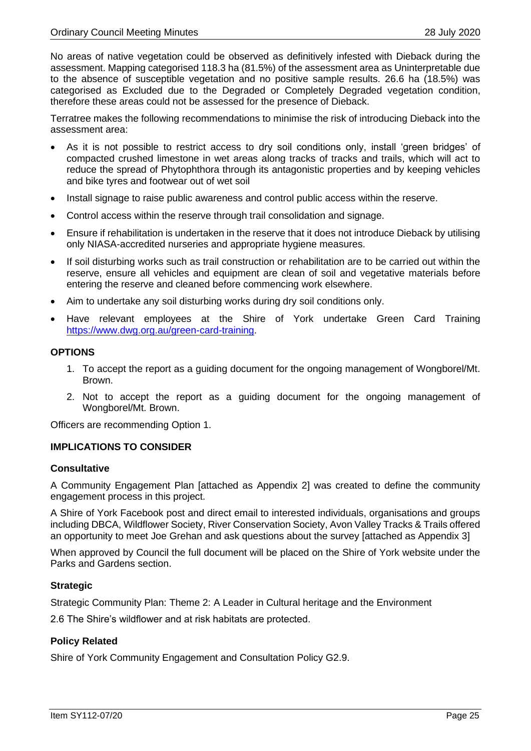No areas of native vegetation could be observed as definitively infested with Dieback during the assessment. Mapping categorised 118.3 ha (81.5%) of the assessment area as Uninterpretable due to the absence of susceptible vegetation and no positive sample results. 26.6 ha (18.5%) was categorised as Excluded due to the Degraded or Completely Degraded vegetation condition, therefore these areas could not be assessed for the presence of Dieback.

Terratree makes the following recommendations to minimise the risk of introducing Dieback into the assessment area:

- As it is not possible to restrict access to dry soil conditions only, install 'green bridges' of compacted crushed limestone in wet areas along tracks of tracks and trails, which will act to reduce the spread of Phytophthora through its antagonistic properties and by keeping vehicles and bike tyres and footwear out of wet soil
- Install signage to raise public awareness and control public access within the reserve.
- Control access within the reserve through trail consolidation and signage.
- Ensure if rehabilitation is undertaken in the reserve that it does not introduce Dieback by utilising only NIASA-accredited nurseries and appropriate hygiene measures.
- If soil disturbing works such as trail construction or rehabilitation are to be carried out within the reserve, ensure all vehicles and equipment are clean of soil and vegetative materials before entering the reserve and cleaned before commencing work elsewhere.
- Aim to undertake any soil disturbing works during dry soil conditions only.
- Have relevant employees at the Shire of York undertake Green Card Training [https://www.dwg.org.au/green-card-training.](https://www.dwg.org.au/green-card-training)

#### **OPTIONS**

- 1. To accept the report as a guiding document for the ongoing management of Wongborel/Mt. Brown.
- 2. Not to accept the report as a guiding document for the ongoing management of Wongborel/Mt. Brown.

Officers are recommending Option 1.

#### **IMPLICATIONS TO CONSIDER**

#### **Consultative**

A Community Engagement Plan [attached as Appendix 2] was created to define the community engagement process in this project.

A Shire of York Facebook post and direct email to interested individuals, organisations and groups including DBCA, Wildflower Society, River Conservation Society, Avon Valley Tracks & Trails offered an opportunity to meet Joe Grehan and ask questions about the survey [attached as Appendix 3]

When approved by Council the full document will be placed on the Shire of York website under the Parks and Gardens section.

#### **Strategic**

Strategic Community Plan: Theme 2: A Leader in Cultural heritage and the Environment

2.6 The Shire's wildflower and at risk habitats are protected.

#### **Policy Related**

Shire of York Community Engagement and Consultation Policy G2.9.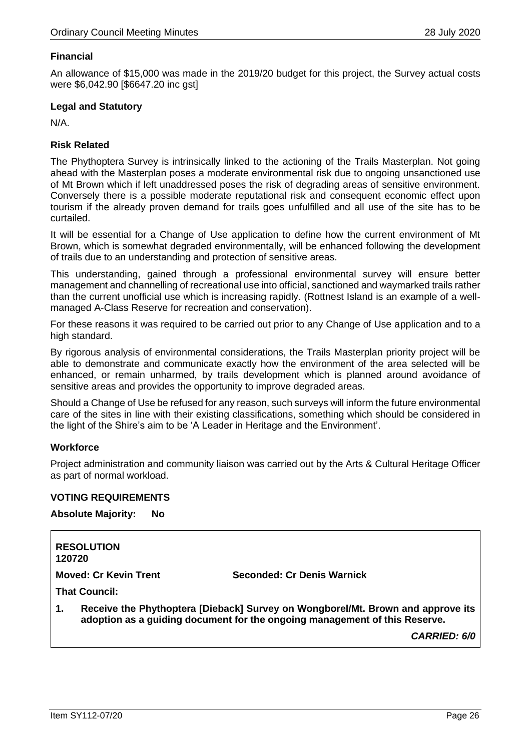#### **Financial**

An allowance of \$15,000 was made in the 2019/20 budget for this project, the Survey actual costs were \$6,042.90 [\$6647.20 inc gst]

#### **Legal and Statutory**

N/A.

#### **Risk Related**

The Phythoptera Survey is intrinsically linked to the actioning of the Trails Masterplan. Not going ahead with the Masterplan poses a moderate environmental risk due to ongoing unsanctioned use of Mt Brown which if left unaddressed poses the risk of degrading areas of sensitive environment. Conversely there is a possible moderate reputational risk and consequent economic effect upon tourism if the already proven demand for trails goes unfulfilled and all use of the site has to be curtailed.

It will be essential for a Change of Use application to define how the current environment of Mt Brown, which is somewhat degraded environmentally, will be enhanced following the development of trails due to an understanding and protection of sensitive areas.

This understanding, gained through a professional environmental survey will ensure better management and channelling of recreational use into official, sanctioned and waymarked trails rather than the current unofficial use which is increasing rapidly. (Rottnest Island is an example of a wellmanaged A-Class Reserve for recreation and conservation).

For these reasons it was required to be carried out prior to any Change of Use application and to a high standard.

By rigorous analysis of environmental considerations, the Trails Masterplan priority project will be able to demonstrate and communicate exactly how the environment of the area selected will be enhanced, or remain unharmed, by trails development which is planned around avoidance of sensitive areas and provides the opportunity to improve degraded areas.

Should a Change of Use be refused for any reason, such surveys will inform the future environmental care of the sites in line with their existing classifications, something which should be considered in the light of the Shire's aim to be 'A Leader in Heritage and the Environment'.

#### **Workforce**

Project administration and community liaison was carried out by the Arts & Cultural Heritage Officer as part of normal workload.

#### **VOTING REQUIREMENTS**

**Absolute Majority: No**

| 120720                       | <b>RESOLUTION</b> |                                                                                                                                                               |
|------------------------------|-------------------|---------------------------------------------------------------------------------------------------------------------------------------------------------------|
| <b>Moved: Cr Kevin Trent</b> |                   | Seconded: Cr Denis Warnick                                                                                                                                    |
| <b>That Council:</b>         |                   |                                                                                                                                                               |
| 1.                           |                   | Receive the Phythoptera [Dieback] Survey on Wongborel/Mt. Brown and approve its<br>adoption as a guiding document for the ongoing management of this Reserve. |
|                              |                   | <b>CARRIED: 6/0</b>                                                                                                                                           |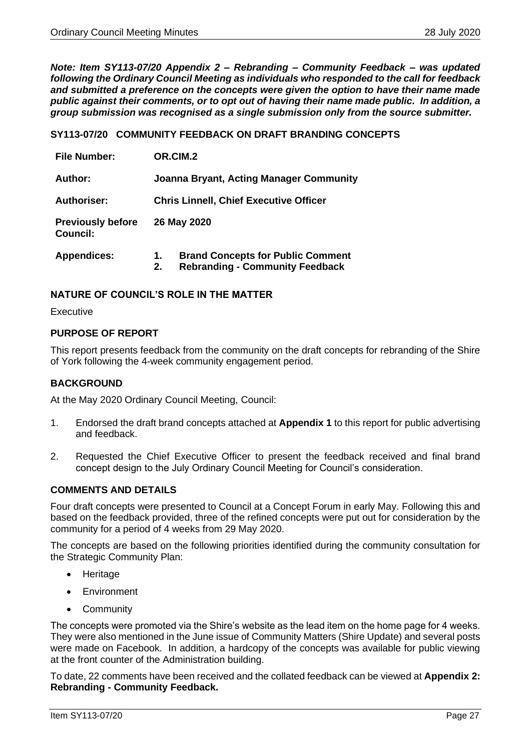<span id="page-26-0"></span>*Note: Item SY113-07/20 Appendix 2 – Rebranding – Community Feedback – was updated following the Ordinary Council Meeting as individuals who responded to the call for feedback and submitted a preference on the concepts were given the option to have their name made public against their comments, or to opt out of having their name made public. In addition, a group submission was recognised as a single submission only from the source submitter.*

**SY113-07/20 COMMUNITY FEEDBACK ON DRAFT BRANDING CONCEPTS** 

| <b>File Number:</b>                         | OR.CIM.2                                                                                       |  |  |
|---------------------------------------------|------------------------------------------------------------------------------------------------|--|--|
| Author:                                     | <b>Joanna Bryant, Acting Manager Community</b>                                                 |  |  |
| <b>Authoriser:</b>                          | <b>Chris Linnell, Chief Executive Officer</b>                                                  |  |  |
| <b>Previously before</b><br><b>Council:</b> | 26 May 2020                                                                                    |  |  |
| <b>Appendices:</b>                          | <b>Brand Concepts for Public Comment</b><br>1.<br><b>Rebranding - Community Feedback</b><br>2. |  |  |

#### **NATURE OF COUNCIL'S ROLE IN THE MATTER**

**Executive** 

#### **PURPOSE OF REPORT**

This report presents feedback from the community on the draft concepts for rebranding of the Shire of York following the 4-week community engagement period.

#### **BACKGROUND**

At the May 2020 Ordinary Council Meeting, Council:

- 1. Endorsed the draft brand concepts attached at **Appendix 1** to this report for public advertising and feedback.
- 2. Requested the Chief Executive Officer to present the feedback received and final brand concept design to the July Ordinary Council Meeting for Council's consideration.

#### **COMMENTS AND DETAILS**

Four draft concepts were presented to Council at a Concept Forum in early May. Following this and based on the feedback provided, three of the refined concepts were put out for consideration by the community for a period of 4 weeks from 29 May 2020.

The concepts are based on the following priorities identified during the community consultation for the Strategic Community Plan:

- **Heritage**
- Environment
- Community

The concepts were promoted via the Shire's website as the lead item on the home page for 4 weeks. They were also mentioned in the June issue of Community Matters (Shire Update) and several posts were made on Facebook. In addition, a hardcopy of the concepts was available for public viewing at the front counter of the Administration building.

To date, 22 comments have been received and the collated feedback can be viewed at **Appendix 2: Rebranding - Community Feedback.**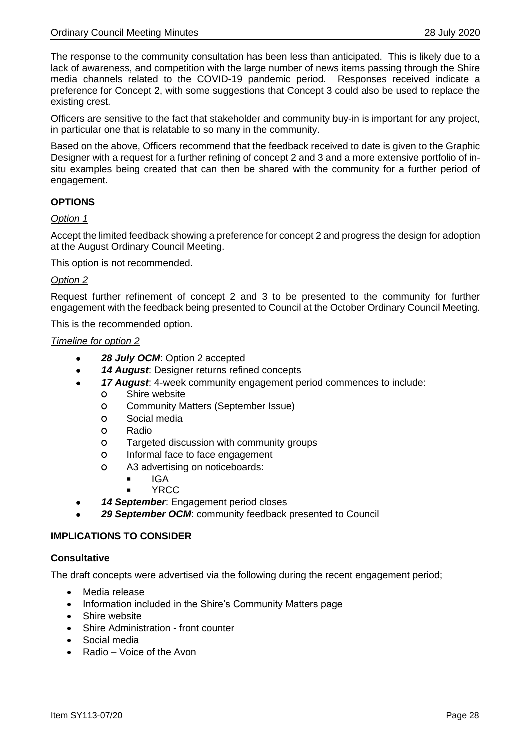The response to the community consultation has been less than anticipated. This is likely due to a lack of awareness, and competition with the large number of news items passing through the Shire media channels related to the COVID-19 pandemic period. Responses received indicate a preference for Concept 2, with some suggestions that Concept 3 could also be used to replace the existing crest.

Officers are sensitive to the fact that stakeholder and community buy-in is important for any project, in particular one that is relatable to so many in the community.

Based on the above, Officers recommend that the feedback received to date is given to the Graphic Designer with a request for a further refining of concept 2 and 3 and a more extensive portfolio of insitu examples being created that can then be shared with the community for a further period of engagement.

#### **OPTIONS**

*Option 1*

Accept the limited feedback showing a preference for concept 2 and progress the design for adoption at the August Ordinary Council Meeting.

This option is not recommended.

#### *Option 2*

Request further refinement of concept 2 and 3 to be presented to the community for further engagement with the feedback being presented to Council at the October Ordinary Council Meeting.

This is the recommended option.

#### *Timeline for option 2*

- *28 July OCM*: Option 2 accepted
- *14 August*: Designer returns refined concepts
- *17 August*: 4-week community engagement period commences to include:
	- **O** Shire website
	- **O** Community Matters (September Issue)
	- **O** Social media
	- **O** Radio
	- **O** Targeted discussion with community groups
	- **O** Informal face to face engagement
	- **O** A3 advertising on noticeboards:
		- $I = IGA$
		- YRCC
- *14 September*: Engagement period closes
- *29 September OCM*: community feedback presented to Council

#### **IMPLICATIONS TO CONSIDER**

#### **Consultative**

The draft concepts were advertised via the following during the recent engagement period;

- Media release
- Information included in the Shire's Community Matters page
- Shire website
- Shire Administration front counter
- Social media
- Radio Voice of the Avon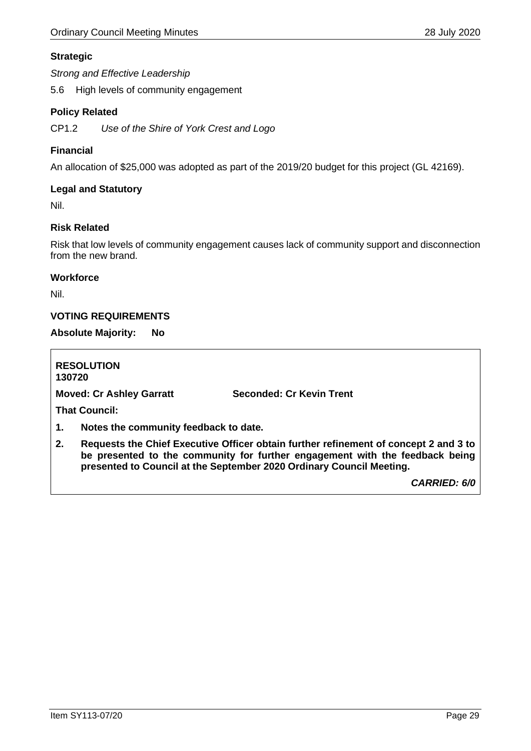#### **Strategic**

*Strong and Effective Leadership*

5.6 High levels of community engagement

#### **Policy Related**

CP1.2 *Use of the Shire of York Crest and Logo*

#### **Financial**

An allocation of \$25,000 was adopted as part of the 2019/20 budget for this project (GL 42169).

#### **Legal and Statutory**

Nil.

#### **Risk Related**

Risk that low levels of community engagement causes lack of community support and disconnection from the new brand.

#### **Workforce**

Nil.

#### **VOTING REQUIREMENTS**

#### **Absolute Majority: No**

**RESOLUTION 130720 Moved: Cr Ashley Garratt Seconded: Cr Kevin Trent That Council: 1. Notes the community feedback to date. 2. Requests the Chief Executive Officer obtain further refinement of concept 2 and 3 to be presented to the community for further engagement with the feedback being presented to Council at the September 2020 Ordinary Council Meeting.** 

*CARRIED: 6/0*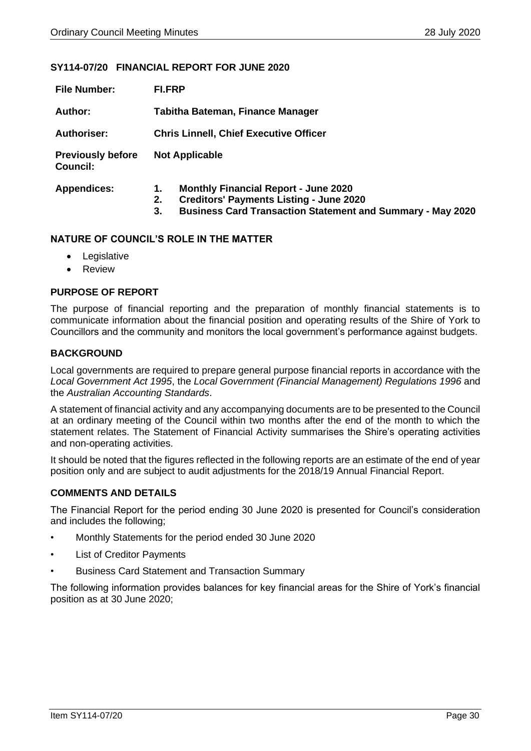#### <span id="page-29-0"></span>**SY114-07/20 FINANCIAL REPORT FOR JUNE 2020**

| <b>File Number:</b>                         | <b>FI.FRP</b>                                                                                                                                                                        |  |  |
|---------------------------------------------|--------------------------------------------------------------------------------------------------------------------------------------------------------------------------------------|--|--|
| Author:                                     | Tabitha Bateman, Finance Manager                                                                                                                                                     |  |  |
| <b>Authoriser:</b>                          | <b>Chris Linnell, Chief Executive Officer</b>                                                                                                                                        |  |  |
| <b>Previously before</b><br><b>Council:</b> | <b>Not Applicable</b>                                                                                                                                                                |  |  |
| <b>Appendices:</b>                          | <b>Monthly Financial Report - June 2020</b><br>1.<br><b>Creditors' Payments Listing - June 2020</b><br>2.<br><b>Business Card Transaction Statement and Summary - May 2020</b><br>3. |  |  |

#### **NATURE OF COUNCIL'S ROLE IN THE MATTER**

- Legislative
- Review

#### **PURPOSE OF REPORT**

The purpose of financial reporting and the preparation of monthly financial statements is to communicate information about the financial position and operating results of the Shire of York to Councillors and the community and monitors the local government's performance against budgets.

#### **BACKGROUND**

Local governments are required to prepare general purpose financial reports in accordance with the *Local Government Act 1995*, the *Local Government (Financial Management) Regulations 1996* and the *Australian Accounting Standards*.

A statement of financial activity and any accompanying documents are to be presented to the Council at an ordinary meeting of the Council within two months after the end of the month to which the statement relates. The Statement of Financial Activity summarises the Shire's operating activities and non-operating activities.

It should be noted that the figures reflected in the following reports are an estimate of the end of year position only and are subject to audit adjustments for the 2018/19 Annual Financial Report.

#### **COMMENTS AND DETAILS**

The Financial Report for the period ending 30 June 2020 is presented for Council's consideration and includes the following;

- Monthly Statements for the period ended 30 June 2020
- **List of Creditor Payments**
- Business Card Statement and Transaction Summary

The following information provides balances for key financial areas for the Shire of York's financial position as at 30 June 2020;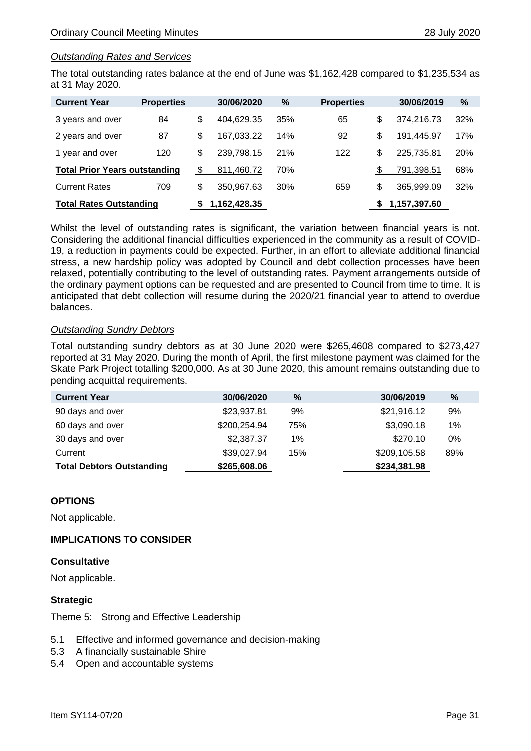#### *Outstanding Rates and Services*

The total outstanding rates balance at the end of June was \$1,162,428 compared to \$1,235,534 as at 31 May 2020.

| <b>Current Year</b>                  | <b>Properties</b> |              | 30/06/2020 | $\%$ | <b>Properties</b> |              | 30/06/2019 | $\frac{9}{6}$ |
|--------------------------------------|-------------------|--------------|------------|------|-------------------|--------------|------------|---------------|
| 3 years and over                     | 84                | \$           | 404,629.35 | 35%  | 65                | \$           | 374,216.73 | 32%           |
| 2 years and over                     | 87                | \$           | 167.033.22 | 14%  | 92                | \$           | 191,445.97 | 17%           |
| 1 year and over                      | 120               | \$           | 239,798.15 | 21%  | 122               | \$           | 225.735.81 | 20%           |
| <b>Total Prior Years outstanding</b> |                   | \$           | 811.460.72 | 70%  |                   |              | 791,398.51 | 68%           |
| <b>Current Rates</b>                 | 709               | \$           | 350,967.63 | 30%  | 659               |              | 365,999.09 | 32%           |
| <b>Total Rates Outstanding</b>       |                   | 1,162,428.35 |            |      | จ                 | 1,157,397.60 |            |               |

Whilst the level of outstanding rates is significant, the variation between financial years is not. Considering the additional financial difficulties experienced in the community as a result of COVID-19, a reduction in payments could be expected. Further, in an effort to alleviate additional financial stress, a new hardship policy was adopted by Council and debt collection processes have been relaxed, potentially contributing to the level of outstanding rates. Payment arrangements outside of the ordinary payment options can be requested and are presented to Council from time to time. It is anticipated that debt collection will resume during the 2020/21 financial year to attend to overdue balances.

#### *Outstanding Sundry Debtors*

Total outstanding sundry debtors as at 30 June 2020 were \$265,4608 compared to \$273,427 reported at 31 May 2020. During the month of April, the first milestone payment was claimed for the Skate Park Project totalling \$200,000. As at 30 June 2020, this amount remains outstanding due to pending acquittal requirements.

| <b>Current Year</b>              | 30/06/2020   | $\%$  | 30/06/2019   | %   |
|----------------------------------|--------------|-------|--------------|-----|
| 90 days and over                 | \$23,937.81  | 9%    | \$21,916.12  | 9%  |
| 60 days and over                 | \$200,254.94 | 75%   | \$3,090.18   | 1%  |
| 30 days and over                 | \$2,387.37   | $1\%$ | \$270.10     | 0%  |
| Current                          | \$39,027.94  | 15%   | \$209,105.58 | 89% |
| <b>Total Debtors Outstanding</b> | \$265,608.06 |       | \$234,381.98 |     |

#### **OPTIONS**

Not applicable.

#### **IMPLICATIONS TO CONSIDER**

#### **Consultative**

Not applicable.

#### **Strategic**

Theme 5: Strong and Effective Leadership

- 5.1 Effective and informed governance and decision-making
- 5.3 A financially sustainable Shire
- 5.4 Open and accountable systems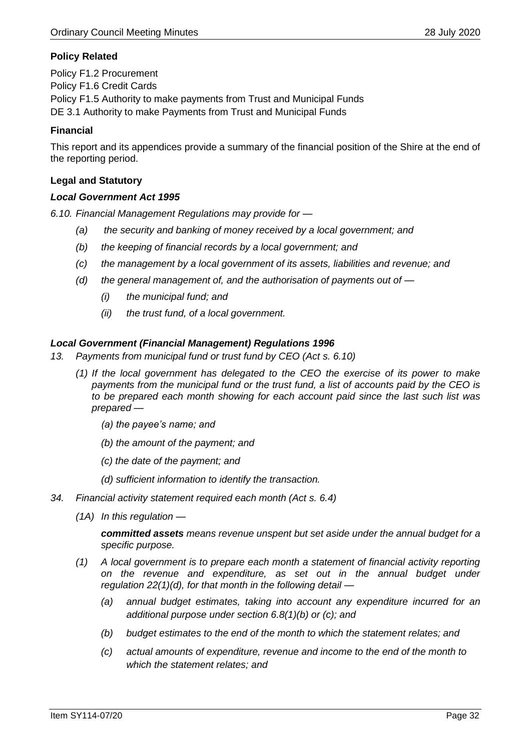#### **Policy Related**

Policy F1.2 Procurement Policy F1.6 Credit Cards Policy F1.5 Authority to make payments from Trust and Municipal Funds DE 3.1 Authority to make Payments from Trust and Municipal Funds

#### **Financial**

This report and its appendices provide a summary of the financial position of the Shire at the end of the reporting period.

#### **Legal and Statutory**

#### *Local Government Act 1995*

*6.10. Financial Management Regulations may provide for —*

- *(a) the security and banking of money received by a local government; and*
- *(b) the keeping of financial records by a local government; and*
- *(c) the management by a local government of its assets, liabilities and revenue; and*
- *(d) the general management of, and the authorisation of payments out of —*
	- *(i) the municipal fund; and*
	- *(ii) the trust fund, of a local government.*

#### *Local Government (Financial Management) Regulations 1996*

- *13. Payments from municipal fund or trust fund by CEO (Act s. 6.10)*
	- *(1) If the local government has delegated to the CEO the exercise of its power to make payments from the municipal fund or the trust fund, a list of accounts paid by the CEO is to be prepared each month showing for each account paid since the last such list was prepared —*
		- *(a) the payee's name; and*
		- *(b) the amount of the payment; and*
		- *(c) the date of the payment; and*
		- *(d) sufficient information to identify the transaction.*
- *34. Financial activity statement required each month (Act s. 6.4)*
	- *(1A) In this regulation —*

*committed assets means revenue unspent but set aside under the annual budget for a specific purpose.*

- *(1) A local government is to prepare each month a statement of financial activity reporting on the revenue and expenditure, as set out in the annual budget under regulation 22(1)(d), for that month in the following detail —*
	- *(a) annual budget estimates, taking into account any expenditure incurred for an additional purpose under section 6.8(1)(b) or (c); and*
	- *(b) budget estimates to the end of the month to which the statement relates; and*
	- *(c) actual amounts of expenditure, revenue and income to the end of the month to which the statement relates; and*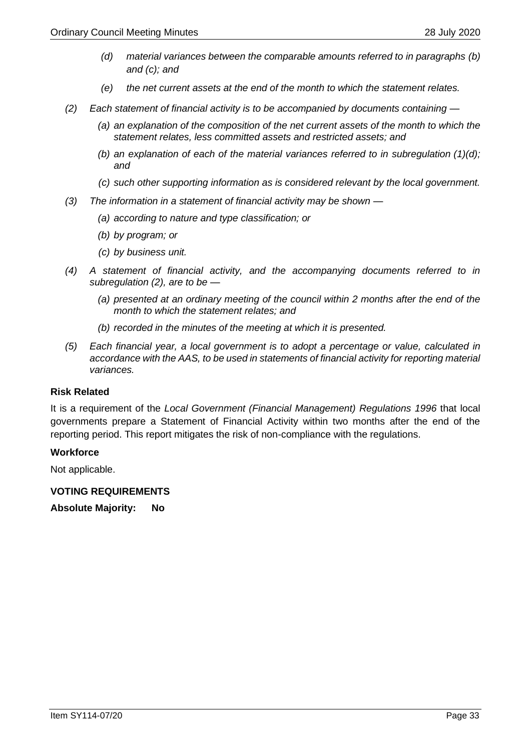- *(d) material variances between the comparable amounts referred to in paragraphs (b) and (c); and*
- *(e) the net current assets at the end of the month to which the statement relates.*
- *(2) Each statement of financial activity is to be accompanied by documents containing —*
	- *(a) an explanation of the composition of the net current assets of the month to which the statement relates, less committed assets and restricted assets; and*
	- *(b) an explanation of each of the material variances referred to in subregulation (1)(d); and*
	- *(c) such other supporting information as is considered relevant by the local government.*
- *(3) The information in a statement of financial activity may be shown —*
	- *(a) according to nature and type classification; or*
	- *(b) by program; or*
	- *(c) by business unit.*
- *(4) A statement of financial activity, and the accompanying documents referred to in subregulation (2), are to be —*
	- *(a) presented at an ordinary meeting of the council within 2 months after the end of the month to which the statement relates; and*
	- *(b) recorded in the minutes of the meeting at which it is presented.*
- *(5) Each financial year, a local government is to adopt a percentage or value, calculated in accordance with the AAS, to be used in statements of financial activity for reporting material variances.*

#### **Risk Related**

It is a requirement of the *Local Government (Financial Management) Regulations 1996* that local governments prepare a Statement of Financial Activity within two months after the end of the reporting period. This report mitigates the risk of non-compliance with the regulations.

#### **Workforce**

Not applicable.

**VOTING REQUIREMENTS** 

**Absolute Majority: No**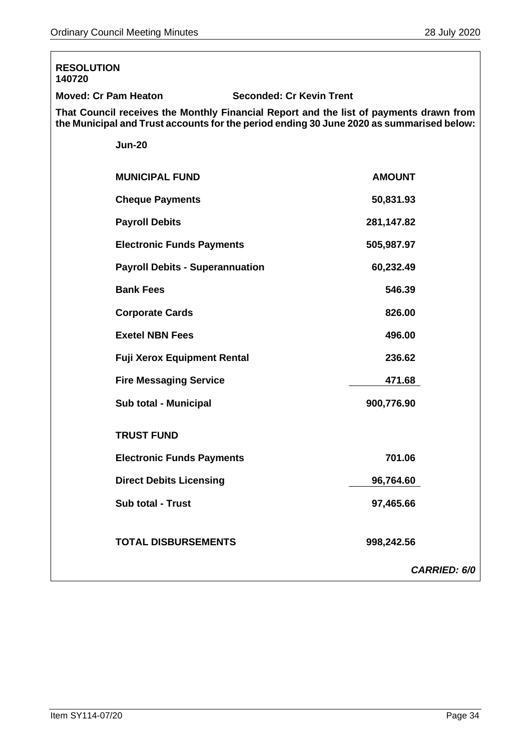| <b>RESOLUTION</b><br>140720                                                                                                                                                        |               |                     |  |  |
|------------------------------------------------------------------------------------------------------------------------------------------------------------------------------------|---------------|---------------------|--|--|
| <b>Moved: Cr Pam Heaton</b><br><b>Seconded: Cr Kevin Trent</b>                                                                                                                     |               |                     |  |  |
| That Council receives the Monthly Financial Report and the list of payments drawn from<br>the Municipal and Trust accounts for the period ending 30 June 2020 as summarised below: |               |                     |  |  |
| <b>Jun-20</b>                                                                                                                                                                      |               |                     |  |  |
| <b>MUNICIPAL FUND</b>                                                                                                                                                              | <b>AMOUNT</b> |                     |  |  |
| <b>Cheque Payments</b>                                                                                                                                                             | 50,831.93     |                     |  |  |
| <b>Payroll Debits</b>                                                                                                                                                              | 281,147.82    |                     |  |  |
| <b>Electronic Funds Payments</b>                                                                                                                                                   | 505,987.97    |                     |  |  |
| <b>Payroll Debits - Superannuation</b>                                                                                                                                             | 60,232.49     |                     |  |  |
| <b>Bank Fees</b>                                                                                                                                                                   | 546.39        |                     |  |  |
| <b>Corporate Cards</b>                                                                                                                                                             | 826.00        |                     |  |  |
| <b>Exetel NBN Fees</b>                                                                                                                                                             | 496.00        |                     |  |  |
| <b>Fuji Xerox Equipment Rental</b>                                                                                                                                                 | 236.62        |                     |  |  |
| <b>Fire Messaging Service</b>                                                                                                                                                      | 471.68        |                     |  |  |
| Sub total - Municipal                                                                                                                                                              | 900,776.90    |                     |  |  |
| <b>TRUST FUND</b>                                                                                                                                                                  |               |                     |  |  |
| <b>Electronic Funds Payments</b>                                                                                                                                                   | 701.06        |                     |  |  |
| <b>Direct Debits Licensing</b>                                                                                                                                                     | 96,764.60     |                     |  |  |
| Sub total - Trust                                                                                                                                                                  | 97,465.66     |                     |  |  |
| <b>TOTAL DISBURSEMENTS</b>                                                                                                                                                         | 998,242.56    |                     |  |  |
|                                                                                                                                                                                    |               | <b>CARRIED: 6/0</b> |  |  |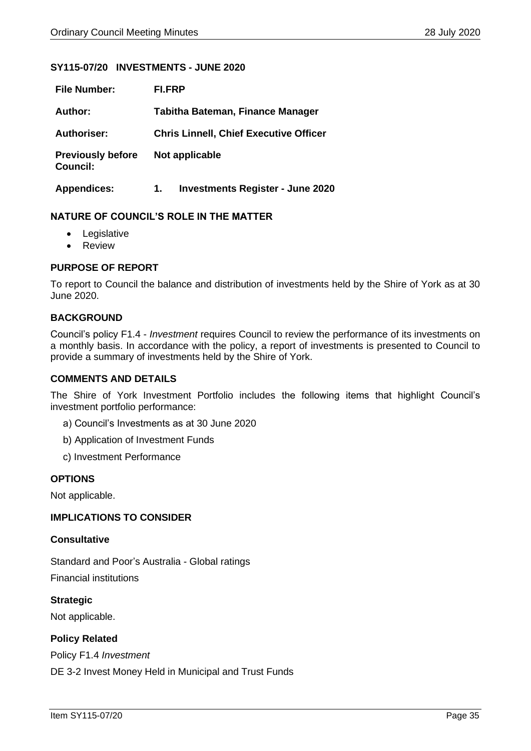#### <span id="page-34-0"></span>**SY115-07/20 INVESTMENTS - JUNE 2020**

| <b>File Number:</b>                         | FI.FRP                                        |
|---------------------------------------------|-----------------------------------------------|
| Author:                                     | <b>Tabitha Bateman, Finance Manager</b>       |
| <b>Authoriser:</b>                          | <b>Chris Linnell, Chief Executive Officer</b> |
| <b>Previously before</b><br><b>Council:</b> | Not applicable                                |
| <b>Appendices:</b>                          | <b>Investments Register - June 2020</b><br>1. |

#### **NATURE OF COUNCIL'S ROLE IN THE MATTER**

- Legislative
- Review

#### **PURPOSE OF REPORT**

To report to Council the balance and distribution of investments held by the Shire of York as at 30 June 2020.

#### **BACKGROUND**

Council's policy F1.4 - *Investment* requires Council to review the performance of its investments on a monthly basis. In accordance with the policy, a report of investments is presented to Council to provide a summary of investments held by the Shire of York.

#### **COMMENTS AND DETAILS**

The Shire of York Investment Portfolio includes the following items that highlight Council's investment portfolio performance:

- a) Council's Investments as at 30 June 2020
- b) Application of Investment Funds
- c) Investment Performance

#### **OPTIONS**

Not applicable.

#### **IMPLICATIONS TO CONSIDER**

#### **Consultative**

Standard and Poor's Australia - Global ratings Financial institutions

**Strategic** Not applicable.

#### **Policy Related**

Policy F1.4 *Investment*

DE 3-2 Invest Money Held in Municipal and Trust Funds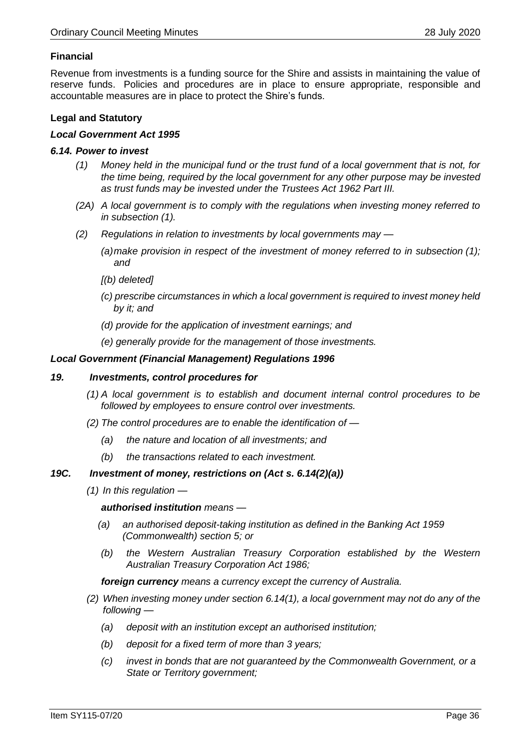#### **Financial**

Revenue from investments is a funding source for the Shire and assists in maintaining the value of reserve funds. Policies and procedures are in place to ensure appropriate, responsible and accountable measures are in place to protect the Shire's funds.

#### **Legal and Statutory**

#### *Local Government Act 1995*

#### *6.14. Power to invest*

- *(1) Money held in the municipal fund or the trust fund of a local government that is not, for the time being, required by the local government for any other purpose may be invested as trust funds may be invested under the Trustees Act 1962 Part III.*
- *(2A) A local government is to comply with the regulations when investing money referred to in subsection (1).*
- *(2) Regulations in relation to investments by local governments may —*
	- *(a)make provision in respect of the investment of money referred to in subsection (1); and*
	- *[(b) deleted]*
	- *(c) prescribe circumstances in which a local government is required to invest money held by it; and*
	- *(d) provide for the application of investment earnings; and*
	- *(e) generally provide for the management of those investments.*

#### *Local Government (Financial Management) Regulations 1996*

#### *19. Investments, control procedures for*

- *(1) A local government is to establish and document internal control procedures to be followed by employees to ensure control over investments.*
- *(2) The control procedures are to enable the identification of —*
	- *(a) the nature and location of all investments; and*
	- *(b) the transactions related to each investment.*

#### *19C. Investment of money, restrictions on (Act s. 6.14(2)(a))*

*(1) In this regulation —*

*authorised institution means —*

- *(a) an authorised deposit-taking institution as defined in the Banking Act 1959 (Commonwealth) section 5; or*
- *(b) the Western Australian Treasury Corporation established by the Western Australian Treasury Corporation Act 1986;*

*foreign currency means a currency except the currency of Australia.*

- *(2) When investing money under section 6.14(1), a local government may not do any of the following —*
	- *(a) deposit with an institution except an authorised institution;*
	- *(b) deposit for a fixed term of more than 3 years;*
	- *(c) invest in bonds that are not guaranteed by the Commonwealth Government, or a State or Territory government;*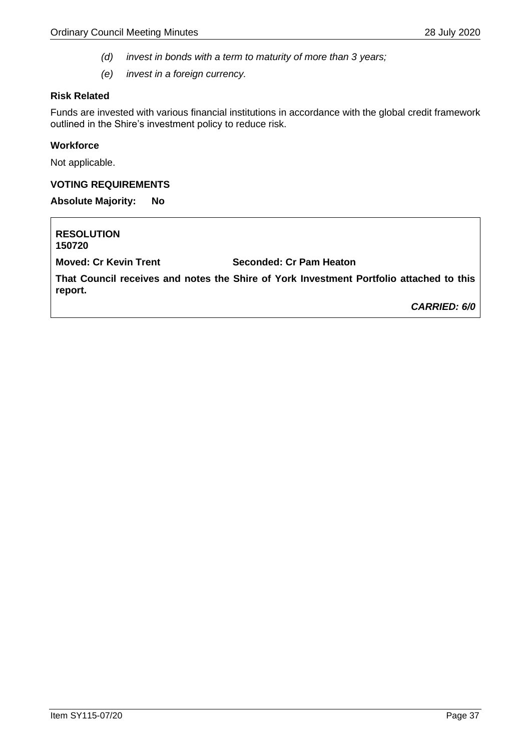- *(d) invest in bonds with a term to maturity of more than 3 years;*
- *(e) invest in a foreign currency.*

#### **Risk Related**

Funds are invested with various financial institutions in accordance with the global credit framework outlined in the Shire's investment policy to reduce risk.

#### **Workforce**

Not applicable.

#### **VOTING REQUIREMENTS**

**Absolute Majority: No**

**RESOLUTION 150720 Moved: Cr Kevin Trent Seconded: Cr Pam Heaton That Council receives and notes the Shire of York Investment Portfolio attached to this report.** *CARRIED: 6/0*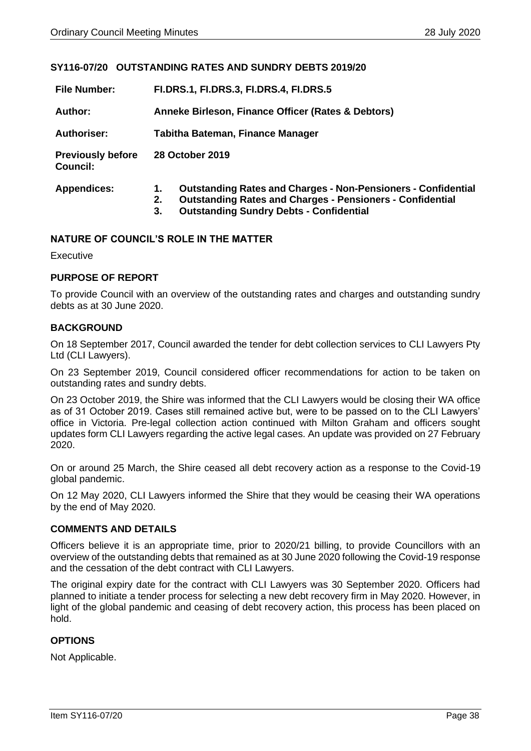#### <span id="page-37-0"></span>**SY116-07/20 OUTSTANDING RATES AND SUNDRY DEBTS 2019/20**

| <b>File Number:</b>                         | <b>FI.DRS.1, FI.DRS.3, FI.DRS.4, FI.DRS.5</b>                                                                                                                                                                |  |  |
|---------------------------------------------|--------------------------------------------------------------------------------------------------------------------------------------------------------------------------------------------------------------|--|--|
| Author:                                     | Anneke Birleson, Finance Officer (Rates & Debtors)                                                                                                                                                           |  |  |
| <b>Authoriser:</b>                          | Tabitha Bateman, Finance Manager                                                                                                                                                                             |  |  |
| <b>Previously before</b><br><b>Council:</b> | 28 October 2019                                                                                                                                                                                              |  |  |
| <b>Appendices:</b>                          | <b>Outstanding Rates and Charges - Non-Pensioners - Confidential</b><br>1.<br><b>Outstanding Rates and Charges - Pensioners - Confidential</b><br>2.<br><b>Outstanding Sundry Debts - Confidential</b><br>3. |  |  |

#### **NATURE OF COUNCIL'S ROLE IN THE MATTER**

Executive

#### **PURPOSE OF REPORT**

To provide Council with an overview of the outstanding rates and charges and outstanding sundry debts as at 30 June 2020.

#### **BACKGROUND**

On 18 September 2017, Council awarded the tender for debt collection services to CLI Lawyers Pty Ltd (CLI Lawyers).

On 23 September 2019, Council considered officer recommendations for action to be taken on outstanding rates and sundry debts.

On 23 October 2019, the Shire was informed that the CLI Lawyers would be closing their WA office as of 31 October 2019. Cases still remained active but, were to be passed on to the CLI Lawyers' office in Victoria. Pre-legal collection action continued with Milton Graham and officers sought updates form CLI Lawyers regarding the active legal cases. An update was provided on 27 February 2020.

On or around 25 March, the Shire ceased all debt recovery action as a response to the Covid-19 global pandemic.

On 12 May 2020, CLI Lawyers informed the Shire that they would be ceasing their WA operations by the end of May 2020.

#### **COMMENTS AND DETAILS**

Officers believe it is an appropriate time, prior to 2020/21 billing, to provide Councillors with an overview of the outstanding debts that remained as at 30 June 2020 following the Covid-19 response and the cessation of the debt contract with CLI Lawyers.

The original expiry date for the contract with CLI Lawyers was 30 September 2020. Officers had planned to initiate a tender process for selecting a new debt recovery firm in May 2020. However, in light of the global pandemic and ceasing of debt recovery action, this process has been placed on hold.

#### **OPTIONS**

Not Applicable.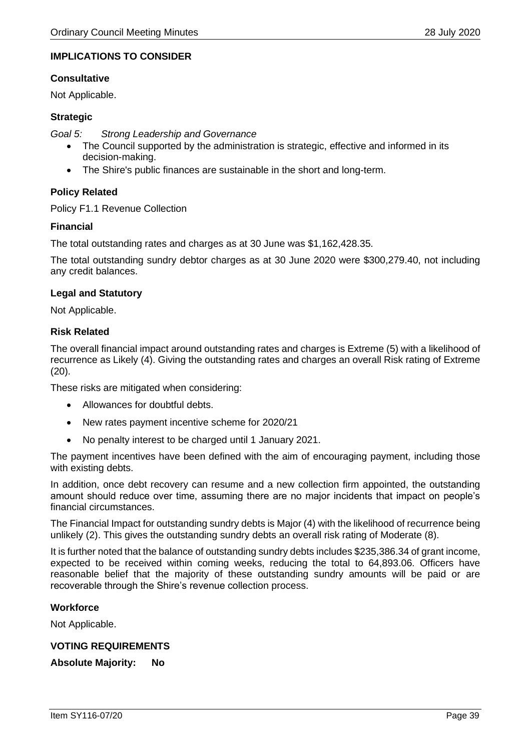#### **IMPLICATIONS TO CONSIDER**

#### **Consultative**

Not Applicable.

#### **Strategic**

*Goal 5: Strong Leadership and Governance*

- The Council supported by the administration is strategic, effective and informed in its decision-making.
- The Shire's public finances are sustainable in the short and long-term.

#### **Policy Related**

Policy F1.1 Revenue Collection

#### **Financial**

The total outstanding rates and charges as at 30 June was \$1,162,428.35.

The total outstanding sundry debtor charges as at 30 June 2020 were \$300,279.40, not including any credit balances.

#### **Legal and Statutory**

Not Applicable.

#### **Risk Related**

The overall financial impact around outstanding rates and charges is Extreme (5) with a likelihood of recurrence as Likely (4). Giving the outstanding rates and charges an overall Risk rating of Extreme (20).

These risks are mitigated when considering:

- Allowances for doubtful debts.
- New rates payment incentive scheme for 2020/21
- No penalty interest to be charged until 1 January 2021.

The payment incentives have been defined with the aim of encouraging payment, including those with existing debts.

In addition, once debt recovery can resume and a new collection firm appointed, the outstanding amount should reduce over time, assuming there are no major incidents that impact on people's financial circumstances.

The Financial Impact for outstanding sundry debts is Major (4) with the likelihood of recurrence being unlikely (2). This gives the outstanding sundry debts an overall risk rating of Moderate (8).

It is further noted that the balance of outstanding sundry debts includes \$235,386.34 of grant income, expected to be received within coming weeks, reducing the total to 64,893.06. Officers have reasonable belief that the majority of these outstanding sundry amounts will be paid or are recoverable through the Shire's revenue collection process.

#### **Workforce**

Not Applicable.

#### **VOTING REQUIREMENTS**

**Absolute Majority: No**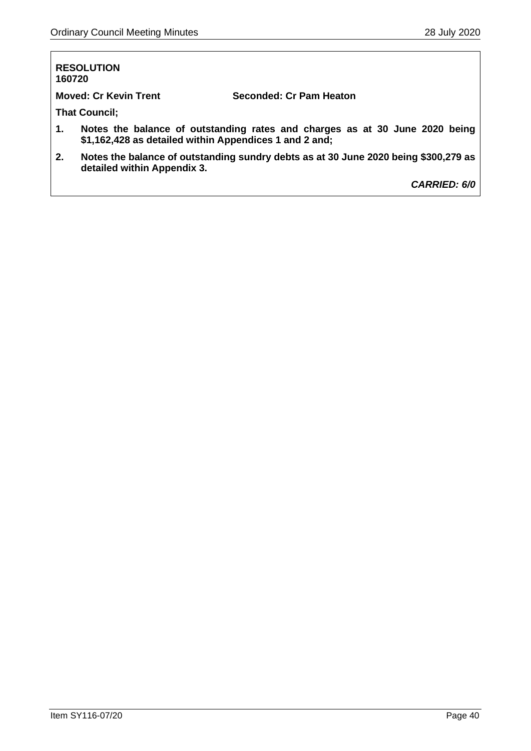| 160720 | <b>RESOLUTION</b>                                      |                                                                                     |
|--------|--------------------------------------------------------|-------------------------------------------------------------------------------------|
|        | <b>Moved: Cr Kevin Trent</b>                           | Seconded: Cr Pam Heaton                                                             |
|        | <b>That Council;</b>                                   |                                                                                     |
| 1.     | \$1,162,428 as detailed within Appendices 1 and 2 and; | Notes the balance of outstanding rates and charges as at 30 June 2020 being         |
| 2.     | detailed within Appendix 3.                            | Notes the balance of outstanding sundry debts as at 30 June 2020 being \$300,279 as |
|        |                                                        | <b>CARRIED: 6/0</b>                                                                 |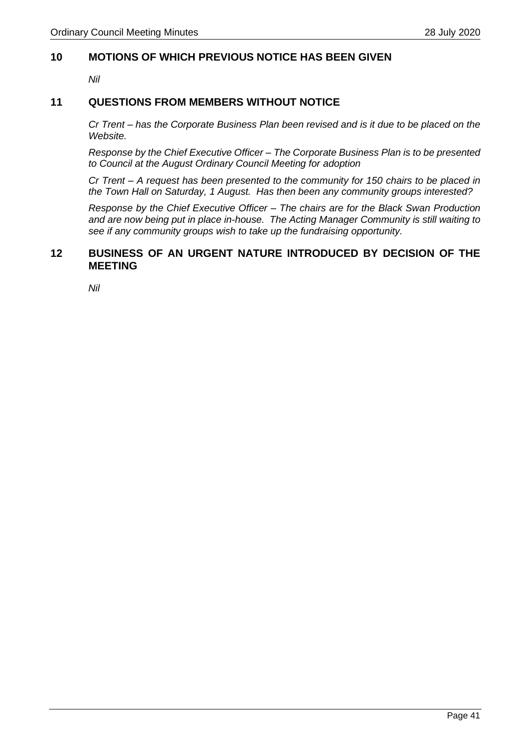#### <span id="page-40-0"></span>**10 MOTIONS OF WHICH PREVIOUS NOTICE HAS BEEN GIVEN**

*Nil*

#### <span id="page-40-1"></span>**11 QUESTIONS FROM MEMBERS WITHOUT NOTICE**

*Cr Trent – has the Corporate Business Plan been revised and is it due to be placed on the Website.*

*Response by the Chief Executive Officer – The Corporate Business Plan is to be presented to Council at the August Ordinary Council Meeting for adoption*

*Cr Trent – A request has been presented to the community for 150 chairs to be placed in the Town Hall on Saturday, 1 August. Has then been any community groups interested?*

*Response by the Chief Executive Officer – The chairs are for the Black Swan Production and are now being put in place in-house. The Acting Manager Community is still waiting to see if any community groups wish to take up the fundraising opportunity.*

#### <span id="page-40-2"></span>**12 BUSINESS OF AN URGENT NATURE INTRODUCED BY DECISION OF THE MEETING**

*Nil*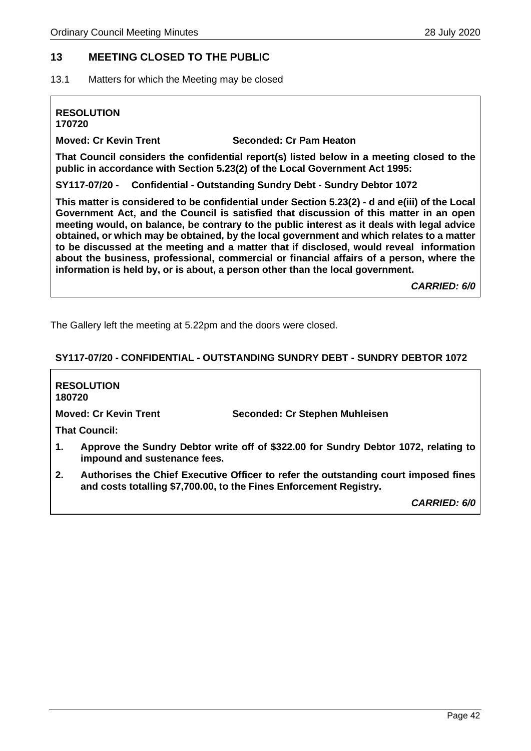#### <span id="page-41-0"></span>**13 MEETING CLOSED TO THE PUBLIC**

<span id="page-41-1"></span>13.1 Matters for which the Meeting may be closed

## **RESOLUTION**

**170720**

**Moved: Cr Kevin Trent Seconded: Cr Pam Heaton**

**That Council considers the confidential report(s) listed below in a meeting closed to the public in accordance with Section 5.23(2) of the Local Government Act 1995:**

**SY117-07/20 - Confidential - Outstanding Sundry Debt - Sundry Debtor 1072**

**This matter is considered to be confidential under Section 5.23(2) - d and e(iii) of the Local Government Act, and the Council is satisfied that discussion of this matter in an open meeting would, on balance, be contrary to the public interest as it deals with legal advice obtained, or which may be obtained, by the local government and which relates to a matter to be discussed at the meeting and a matter that if disclosed, would reveal information about the business, professional, commercial or financial affairs of a person, where the information is held by, or is about, a person other than the local government.** 

*CARRIED: 6/0*

The Gallery left the meeting at 5.22pm and the doors were closed.

#### <span id="page-41-2"></span>**SY117-07/20 - CONFIDENTIAL - OUTSTANDING SUNDRY DEBT - SUNDRY DEBTOR 1072**

| 180720         | <b>RESOLUTION</b>            |                                                                                                                                                                                                                    |
|----------------|------------------------------|--------------------------------------------------------------------------------------------------------------------------------------------------------------------------------------------------------------------|
|                | <b>Moved: Cr Kevin Trent</b> | Seconded: Cr Stephen Muhleisen                                                                                                                                                                                     |
|                | <b>That Council:</b>         |                                                                                                                                                                                                                    |
| $\mathbf{1}$ . | impound and sustenance fees. | Approve the Sundry Debtor write off of \$322.00 for Sundry Debtor 1072, relating to                                                                                                                                |
| 2.             |                              | Authorises the Chief Executive Officer to refer the outstanding court imposed fines<br>. The contract the contract of the contract of $\mathbf{A}$ is the contract of $\mathbf{A}$ is the contract of $\mathbf{A}$ |

**and costs totalling \$7,700.00, to the Fines Enforcement Registry.**

*CARRIED: 6/0*